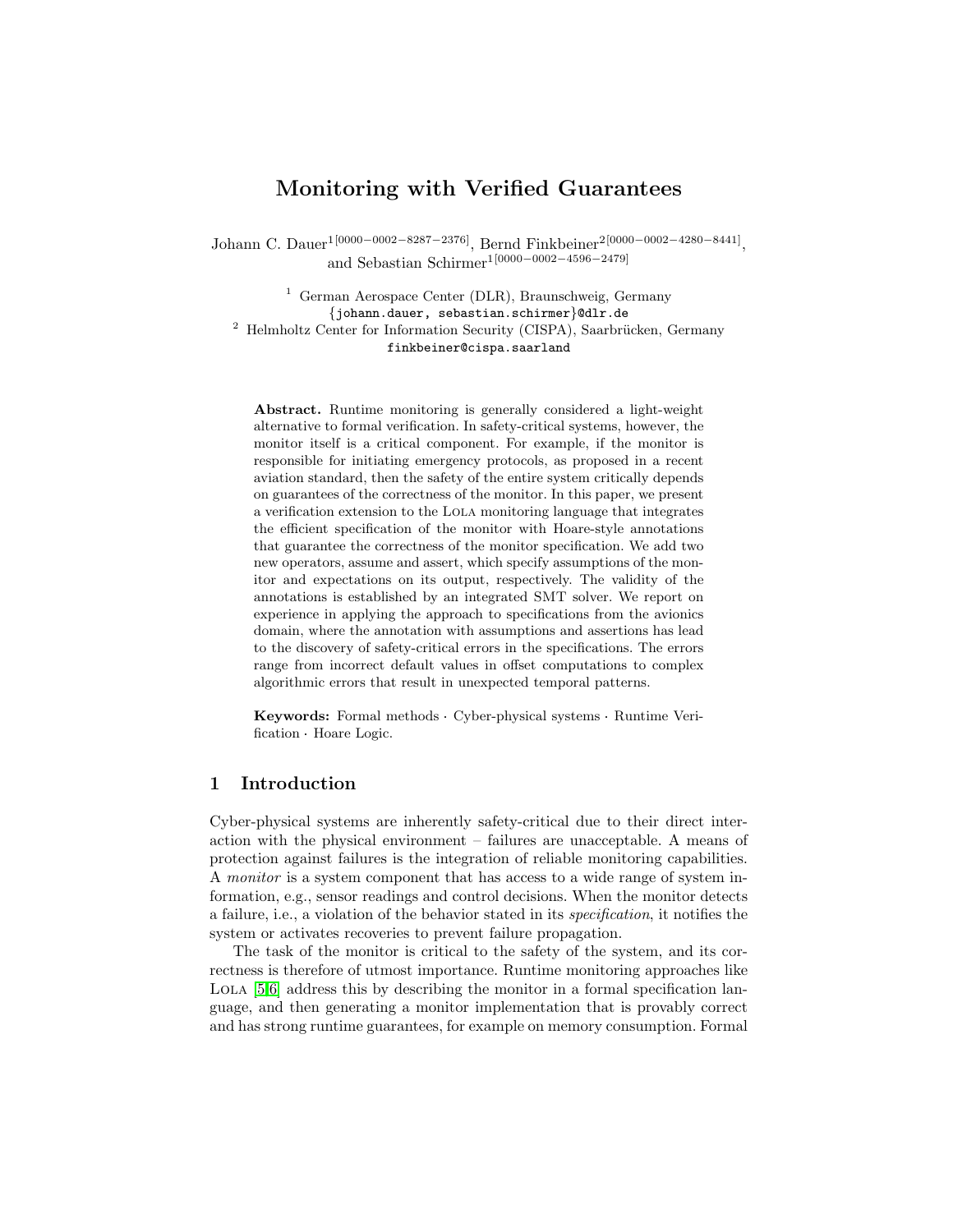## Monitoring with Verified Guarantees

Johann C. Dauer1[0000−0002−8287−2376], Bernd Finkbeiner2[0000−0002−4280−8441] , and Sebastian Schirmer1[0000−0002−4596−2479]

<sup>1</sup> German Aerospace Center (DLR), Braunschweig, Germany {johann.dauer, sebastian.schirmer}@dlr.de  $2$  Helmholtz Center for Information Security (CISPA), Saarbrücken, Germany finkbeiner@cispa.saarland

Abstract. Runtime monitoring is generally considered a light-weight alternative to formal verification. In safety-critical systems, however, the monitor itself is a critical component. For example, if the monitor is responsible for initiating emergency protocols, as proposed in a recent aviation standard, then the safety of the entire system critically depends on guarantees of the correctness of the monitor. In this paper, we present a verification extension to the Lola monitoring language that integrates the efficient specification of the monitor with Hoare-style annotations that guarantee the correctness of the monitor specification. We add two new operators, assume and assert, which specify assumptions of the monitor and expectations on its output, respectively. The validity of the annotations is established by an integrated SMT solver. We report on experience in applying the approach to specifications from the avionics domain, where the annotation with assumptions and assertions has lead to the discovery of safety-critical errors in the specifications. The errors range from incorrect default values in offset computations to complex algorithmic errors that result in unexpected temporal patterns.

Keywords: Formal methods · Cyber-physical systems · Runtime Verification Hoare Logic.

## 1 Introduction

Cyber-physical systems are inherently safety-critical due to their direct interaction with the physical environment – failures are unacceptable. A means of protection against failures is the integration of reliable monitoring capabilities. A monitor is a system component that has access to a wide range of system information, e.g., sensor readings and control decisions. When the monitor detects a failure, i.e., a violation of the behavior stated in its specification, it notifies the system or activates recoveries to prevent failure propagation.

The task of the monitor is critical to the safety of the system, and its correctness is therefore of utmost importance. Runtime monitoring approaches like LOLA [\[5](#page-17-0)[,6\]](#page-17-1) address this by describing the monitor in a formal specification language, and then generating a monitor implementation that is provably correct and has strong runtime guarantees, for example on memory consumption. Formal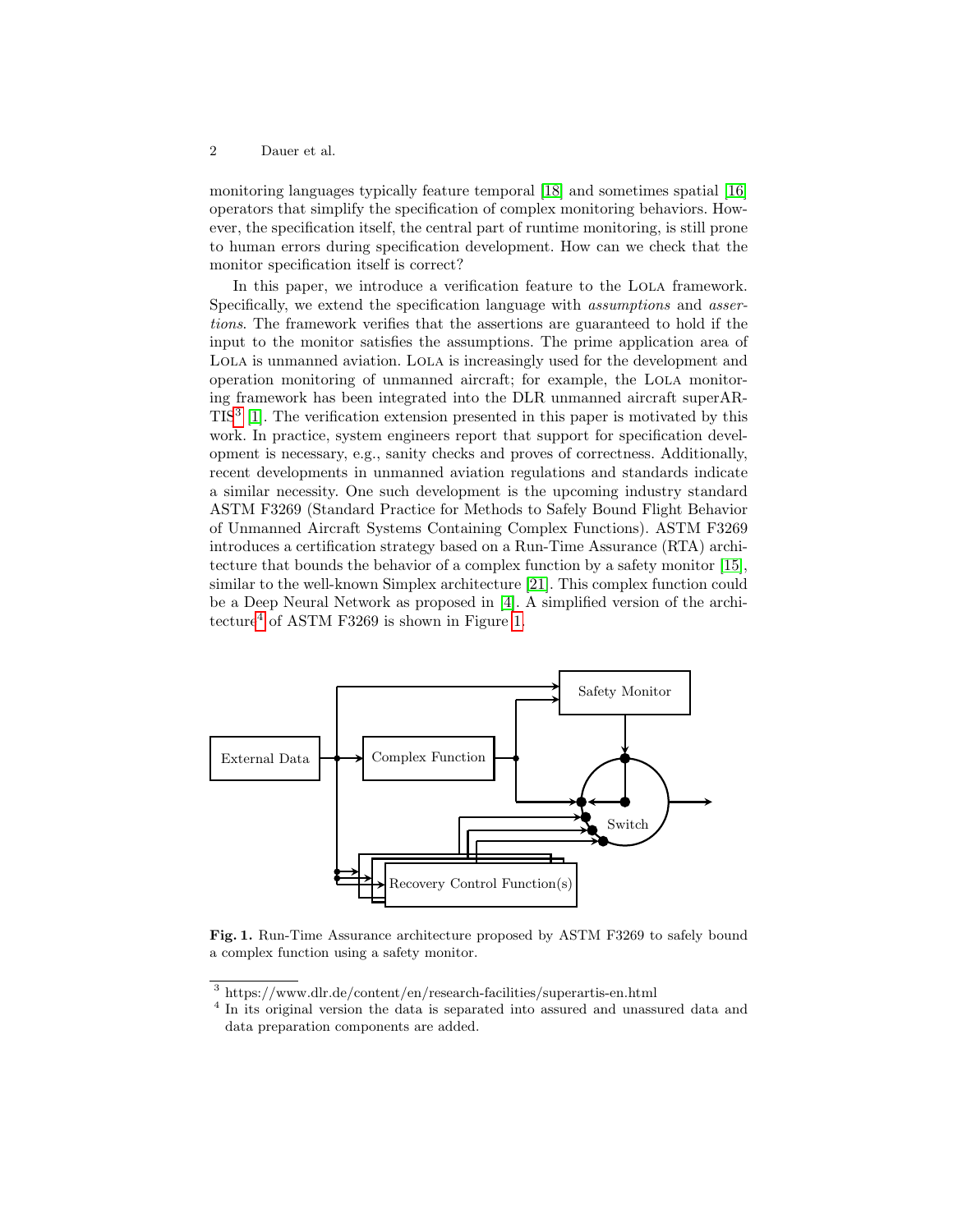monitoring languages typically feature temporal [\[18\]](#page-18-0) and sometimes spatial [\[16\]](#page-18-1) operators that simplify the specification of complex monitoring behaviors. However, the specification itself, the central part of runtime monitoring, is still prone to human errors during specification development. How can we check that the monitor specification itself is correct?

In this paper, we introduce a verification feature to the Lola framework. Specifically, we extend the specification language with assumptions and assertions. The framework verifies that the assertions are guaranteed to hold if the input to the monitor satisfies the assumptions. The prime application area of Lola is unmanned aviation. Lola is increasingly used for the development and operation monitoring of unmanned aircraft; for example, the Lola monitoring framework has been integrated into the DLR unmanned aircraft superAR-TIS[3](#page-1-0) [\[1\]](#page-17-2). The verification extension presented in this paper is motivated by this work. In practice, system engineers report that support for specification development is necessary, e.g., sanity checks and proves of correctness. Additionally, recent developments in unmanned aviation regulations and standards indicate a similar necessity. One such development is the upcoming industry standard ASTM F3269 (Standard Practice for Methods to Safely Bound Flight Behavior of Unmanned Aircraft Systems Containing Complex Functions). ASTM F3269 introduces a certification strategy based on a Run-Time Assurance (RTA) architecture that bounds the behavior of a complex function by a safety monitor [\[15\]](#page-18-2), similar to the well-known Simplex architecture [\[21\]](#page-18-3). This complex function could be a Deep Neural Network as proposed in [\[4\]](#page-17-3). A simplified version of the architecture[4](#page-1-1) of ASTM F3269 is shown in Figure [1.](#page-1-2)



<span id="page-1-2"></span>Fig. 1. Run-Time Assurance architecture proposed by ASTM F3269 to safely bound a complex function using a safety monitor.

<span id="page-1-0"></span><sup>3</sup> https://www.dlr.de/content/en/research-facilities/superartis-en.html

<span id="page-1-1"></span><sup>&</sup>lt;sup>4</sup> In its original version the data is separated into assured and unassured data and data preparation components are added.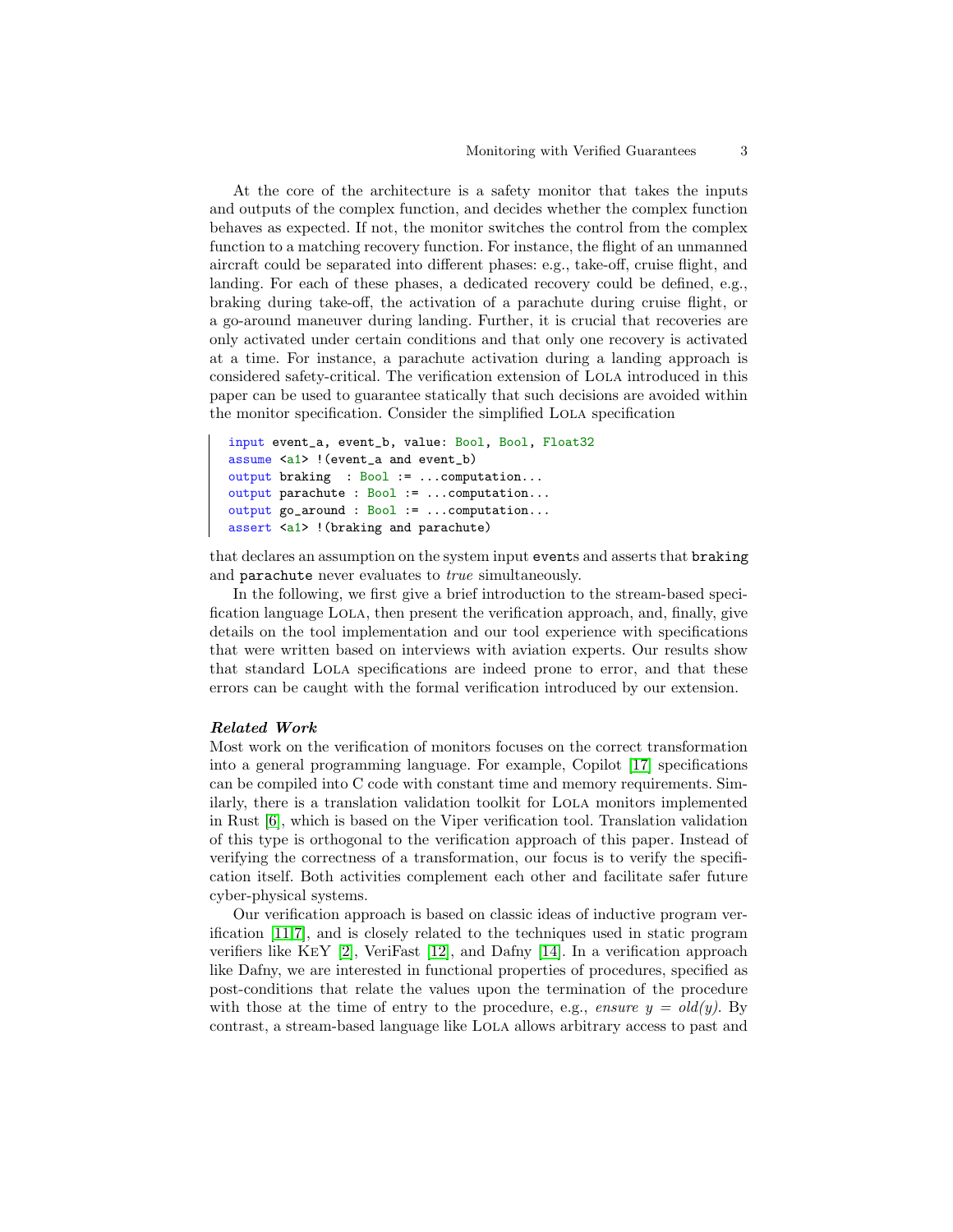At the core of the architecture is a safety monitor that takes the inputs and outputs of the complex function, and decides whether the complex function behaves as expected. If not, the monitor switches the control from the complex function to a matching recovery function. For instance, the flight of an unmanned aircraft could be separated into different phases: e.g., take-off, cruise flight, and landing. For each of these phases, a dedicated recovery could be defined, e.g., braking during take-off, the activation of a parachute during cruise flight, or a go-around maneuver during landing. Further, it is crucial that recoveries are only activated under certain conditions and that only one recovery is activated at a time. For instance, a parachute activation during a landing approach is considered safety-critical. The verification extension of Lola introduced in this paper can be used to guarantee statically that such decisions are avoided within the monitor specification. Consider the simplified Lola specification

```
input event_a, event_b, value: Bool, Bool, Float32
assume <a1> !(event_a and event_b)
output braking : Bool := ...computation...
output parachute : Bool := ...computation...
output go_around : Bool := ...computation...
assert <a1> !(braking and parachute)
```
that declares an assumption on the system input events and asserts that braking and parachute never evaluates to true simultaneously.

In the following, we first give a brief introduction to the stream-based specification language Lola, then present the verification approach, and, finally, give details on the tool implementation and our tool experience with specifications that were written based on interviews with aviation experts. Our results show that standard Lola specifications are indeed prone to error, and that these errors can be caught with the formal verification introduced by our extension.

#### Related Work

Most work on the verification of monitors focuses on the correct transformation into a general programming language. For example, Copilot [\[17\]](#page-18-4) specifications can be compiled into C code with constant time and memory requirements. Similarly, there is a translation validation toolkit for LOLA monitors implemented in Rust [\[6\]](#page-17-1), which is based on the Viper verification tool. Translation validation of this type is orthogonal to the verification approach of this paper. Instead of verifying the correctness of a transformation, our focus is to verify the specification itself. Both activities complement each other and facilitate safer future cyber-physical systems.

Our verification approach is based on classic ideas of inductive program verification [\[11](#page-17-4)[,7\]](#page-17-5), and is closely related to the techniques used in static program verifiers like KeY [\[2\]](#page-17-6), VeriFast [\[12\]](#page-17-7), and Dafny [\[14\]](#page-18-5). In a verification approach like Dafny, we are interested in functional properties of procedures, specified as post-conditions that relate the values upon the termination of the procedure with those at the time of entry to the procedure, e.g., ensure  $y = old(y)$ . By contrast, a stream-based language like Lola allows arbitrary access to past and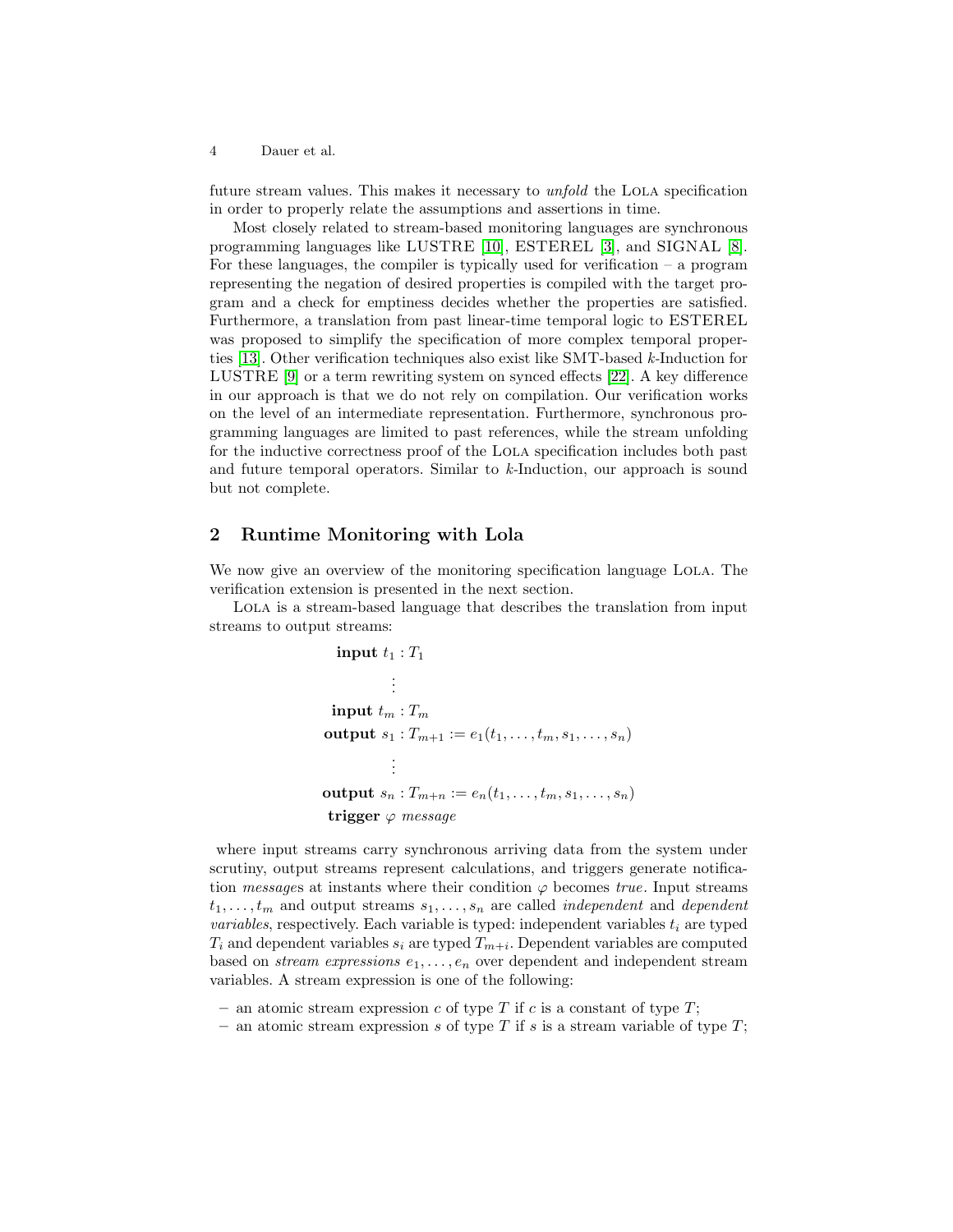future stream values. This makes it necessary to *unfold* the LOLA specification in order to properly relate the assumptions and assertions in time.

Most closely related to stream-based monitoring languages are synchronous programming languages like LUSTRE [\[10\]](#page-17-8), ESTEREL [\[3\]](#page-17-9), and SIGNAL [\[8\]](#page-17-10). For these languages, the compiler is typically used for verification  $-$  a program representing the negation of desired properties is compiled with the target program and a check for emptiness decides whether the properties are satisfied. Furthermore, a translation from past linear-time temporal logic to ESTEREL was proposed to simplify the specification of more complex temporal properties [\[13\]](#page-18-6). Other verification techniques also exist like SMT-based k-Induction for LUSTRE [\[9\]](#page-17-11) or a term rewriting system on synced effects [\[22\]](#page-18-7). A key difference in our approach is that we do not rely on compilation. Our verification works on the level of an intermediate representation. Furthermore, synchronous programming languages are limited to past references, while the stream unfolding for the inductive correctness proof of the Lola specification includes both past and future temporal operators. Similar to k-Induction, our approach is sound but not complete.

## 2 Runtime Monitoring with Lola

We now give an overview of the monitoring specification language LOLA. The verification extension is presented in the next section.

Lola is a stream-based language that describes the translation from input streams to output streams:

```
\ninput 
$$
t_1 : T_1\n \vdots\n \ninput  $t_m : T_m$ \noutput  $s_1 : T_{m+1} := e_1(t_1, \ldots, t_m, s_1, \ldots, s_n)\n \vdots\n \noutput  $s_n : T_{m+n} := e_n(t_1, \ldots, t_m, s_1, \ldots, s_n)$ \n\ntrigger  $\varphi$  message\n$
$$

```

where input streams carry synchronous arriving data from the system under scrutiny, output streams represent calculations, and triggers generate notification *messages* at instants where their condition  $\varphi$  becomes *true*. Input streams  $t_1, \ldots, t_m$  and output streams  $s_1, \ldots, s_n$  are called *independent* and *dependent* variables, respectively. Each variable is typed: independent variables  $t_i$  are typed  $T_i$  and dependent variables  $s_i$  are typed  $T_{m+i}$ . Dependent variables are computed based on *stream expressions*  $e_1, \ldots, e_n$  over dependent and independent stream variables. A stream expression is one of the following:

- an atomic stream expression c of type  $T$  if c is a constant of type  $T$ ;
- an atomic stream expression s of type  $T$  if s is a stream variable of type  $T$ ;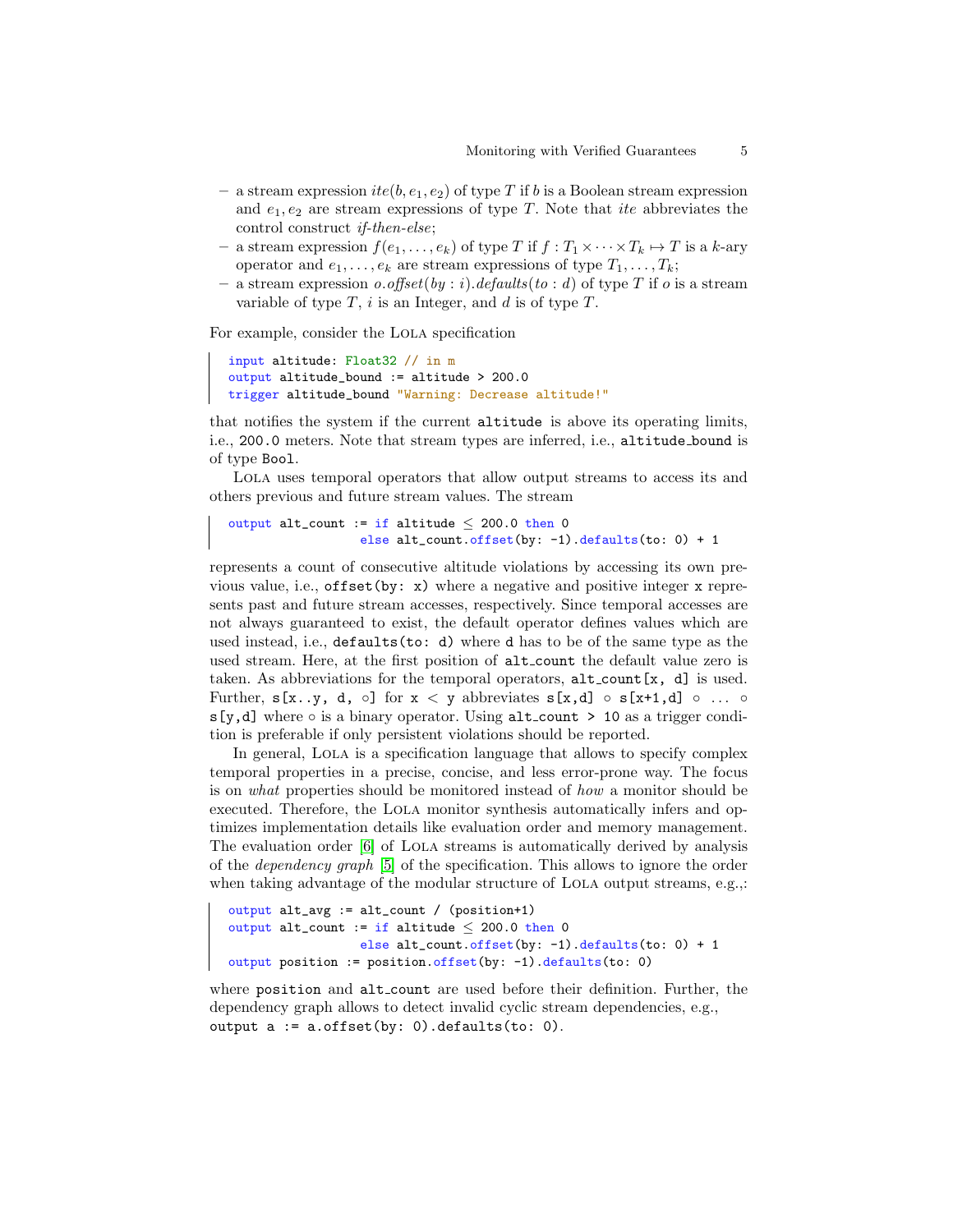- a stream expression  $ite(b, e_1, e_2)$  of type T if b is a Boolean stream expression and  $e_1, e_2$  are stream expressions of type T. Note that ite abbreviates the control construct if-then-else;
- a stream expression  $f(e_1, \ldots, e_k)$  of type T if  $f : T_1 \times \cdots \times T_k \mapsto T$  is a k-ary operator and  $e_1, \ldots, e_k$  are stream expressions of type  $T_1, \ldots, T_k$ ;
- a stream expression *o.offset*(*by*: *i*).defaults(*to*: *d*) of type T if *o* is a stream variable of type  $T$ , i is an Integer, and d is of type  $T$ .

For example, consider the Lola specification

```
input altitude: Float32 // in m
output altitude_bound := altitude > 200.0
trigger altitude_bound "Warning: Decrease altitude!"
```
that notifies the system if the current altitude is above its operating limits, i.e., 200.0 meters. Note that stream types are inferred, i.e., altitude bound is of type Bool.

Lola uses temporal operators that allow output streams to access its and others previous and future stream values. The stream

```
output alt_count := if altitude \leq 200.0 then 0
                  else alt_count.offset(by: -1).defaults(to: 0) + 1
```
represents a count of consecutive altitude violations by accessing its own previous value, i.e., offset(by: x) where a negative and positive integer x represents past and future stream accesses, respectively. Since temporal accesses are not always guaranteed to exist, the default operator defines values which are used instead, i.e., defaults(to: d) where d has to be of the same type as the used stream. Here, at the first position of  $alt_count$  the default value zero is taken. As abbreviations for the temporal operators, alt\_count[x, d] is used. Further,  $s[x..y, d, \circ]$  for  $x < y$  abbreviates  $s[x,d] \circ s[x+1,d] \circ ... \circ$ s[y,d] where ∘ is a binary operator. Using alt\_count > 10 as a trigger condition is preferable if only persistent violations should be reported.

In general, LOLA is a specification language that allows to specify complex temporal properties in a precise, concise, and less error-prone way. The focus is on what properties should be monitored instead of how a monitor should be executed. Therefore, the Lola monitor synthesis automatically infers and optimizes implementation details like evaluation order and memory management. The evaluation order [\[6\]](#page-17-1) of LOLA streams is automatically derived by analysis of the dependency graph [\[5\]](#page-17-0) of the specification. This allows to ignore the order when taking advantage of the modular structure of LOLA output streams, e.g.,:

```
output alt_avg := alt_count / (position+1)
output alt_count := if altitude \leq 200.0 then 0
                  else alt_count.offset(by: -1).defaults(to: 0) + 1
output position := position.offset(by: -1).defaults(to: 0)
```
where position and alt\_count are used before their definition. Further, the dependency graph allows to detect invalid cyclic stream dependencies, e.g., output a := a.offset(by: 0).defaults(to: 0).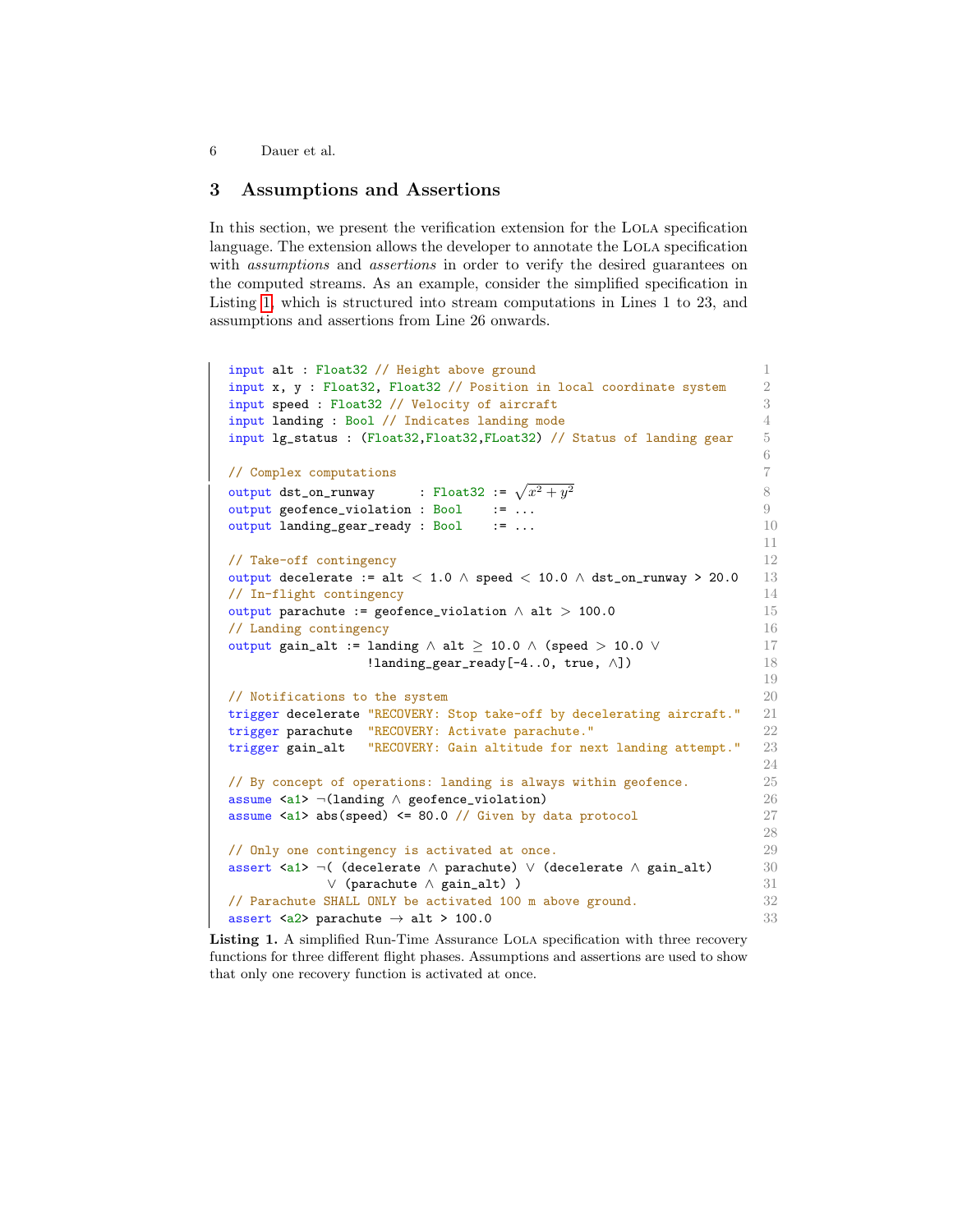## 3 Assumptions and Assertions

In this section, we present the verification extension for the Lola specification language. The extension allows the developer to annotate the LOLA specification with *assumptions* and *assertions* in order to verify the desired guarantees on the computed streams. As an example, consider the simplified specification in Listing [1,](#page-5-0) which is structured into stream computations in Lines 1 to 23, and assumptions and assertions from Line 26 onwards.

```
input alt : Float32 // Height above ground 1
input x, y : Float32, Float32 // Position in local coordinate system 2
input speed : Float32 // Velocity of aircraft 3
input landing : Bool // Indicates landing mode 4
input lg_status : (Float32,Float32,FLoat32) // Status of landing gear 5
                                                      6
// Complex computations 7
output dst_on_runway \qquad \qquad : \text{ Float32} := \sqrt{x^2 + y^2} \qquad \qquad \otimesoutput geofence_violation : Bool := ... 999
output landing_gear_ready : Bool := ... 10
                                                      11
// Take-off contingency 12
output decelerate := alt < 1.0 ∧ speed < 10.0 ∧ dst_on_runway > 20.0 13
// In-flight contingency 14
output parachute := geofence_violation ∧ alt > 100.0 15
\frac{1}{6} Landing contingency 16
output gain_alt := landing \land alt \geq 10.0 \land (speed > 10.0 \lor 17
              !landing\_gear\_ready[-4..0, true, \wedge]) 18
                                                      19
\prime/ Notifications to the system 20trigger decelerate "RECOVERY: Stop take-off by decelerating aircraft." 21
trigger parachute "RECOVERY: Activate parachute." 22
trigger gain_alt "RECOVERY: Gain altitude for next landing attempt." 23
                                                      24
// By concept of operations: landing is always within geofence. 25
assume <a1> ¬(landing ∧ geofence_violation) 26
assume \langle a1 \rangle abs(speed) \langle = 80.0 \rangle / 0 Given by data protocol 27
                                                      28
// Only one contingency is activated at once. 29
assert <a1> \neg( (decelerate \land parachute) ∨ (decelerate \land gain_alt) 30
          ∨ (parachute ∧ gain_alt) ) 31
// Parachute SHALL ONLY be activated 100 m above ground. 32
assert <a2> parachute \rightarrow alt > 100.0 33
```
Listing 1. A simplified Run-Time Assurance LOLA specification with three recovery functions for three different flight phases. Assumptions and assertions are used to show that only one recovery function is activated at once.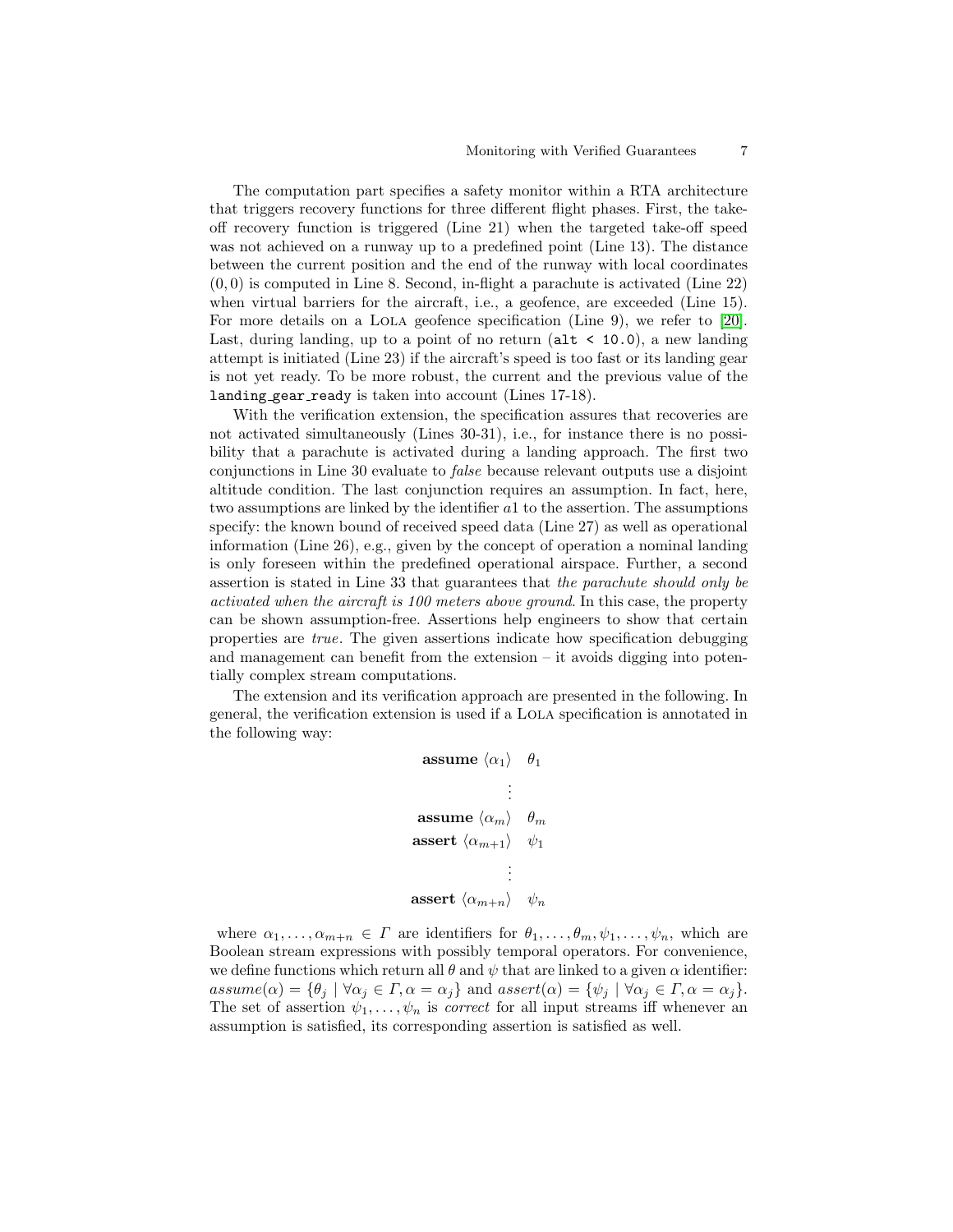The computation part specifies a safety monitor within a RTA architecture that triggers recovery functions for three different flight phases. First, the takeoff recovery function is triggered (Line 21) when the targeted take-off speed was not achieved on a runway up to a predefined point (Line 13). The distance between the current position and the end of the runway with local coordinates  $(0, 0)$  is computed in Line 8. Second, in-flight a parachute is activated (Line 22) when virtual barriers for the aircraft, i.e., a geofence, are exceeded (Line 15). For more details on a Lola geofence specification (Line 9), we refer to [\[20\]](#page-18-8). Last, during landing, up to a point of no return ( $alt < 10.0$ ), a new landing attempt is initiated (Line 23) if the aircraft's speed is too fast or its landing gear is not yet ready. To be more robust, the current and the previous value of the landing gear ready is taken into account (Lines 17-18).

With the verification extension, the specification assures that recoveries are not activated simultaneously (Lines 30-31), i.e., for instance there is no possibility that a parachute is activated during a landing approach. The first two conjunctions in Line 30 evaluate to false because relevant outputs use a disjoint altitude condition. The last conjunction requires an assumption. In fact, here, two assumptions are linked by the identifier a1 to the assertion. The assumptions specify: the known bound of received speed data (Line 27) as well as operational information (Line 26), e.g., given by the concept of operation a nominal landing is only foreseen within the predefined operational airspace. Further, a second assertion is stated in Line 33 that guarantees that the parachute should only be activated when the aircraft is 100 meters above ground. In this case, the property can be shown assumption-free. Assertions help engineers to show that certain properties are true. The given assertions indicate how specification debugging and management can benefit from the extension – it avoids digging into potentially complex stream computations.

The extension and its verification approach are presented in the following. In general, the verification extension is used if a Lola specification is annotated in the following way:

```
assume \langle \alpha_1 \rangle \theta_1.
                                 .
                                 .
 assume \langle \alpha_m \rangle \theta_massert \langle \alpha_{m+1} \rangle \quad \psi_1.
                                 .
                                 .
assert \langle \alpha_{m+n} \rangle \psi_n
```
where  $\alpha_1, \ldots, \alpha_{m+n} \in \Gamma$  are identifiers for  $\theta_1, \ldots, \theta_m, \psi_1, \ldots, \psi_n$ , which are Boolean stream expressions with possibly temporal operators. For convenience, we define functions which return all  $\theta$  and  $\psi$  that are linked to a given  $\alpha$  identifier:  $assume(\alpha) = {\theta_i \mid \forall \alpha_j \in \Gamma, \alpha = \alpha_j}$  and  $assert(\alpha) = {\psi_j \mid \forall \alpha_j \in \Gamma, \alpha = \alpha_j}.$ The set of assertion  $\psi_1, \ldots, \psi_n$  is *correct* for all input streams iff whenever an assumption is satisfied, its corresponding assertion is satisfied as well.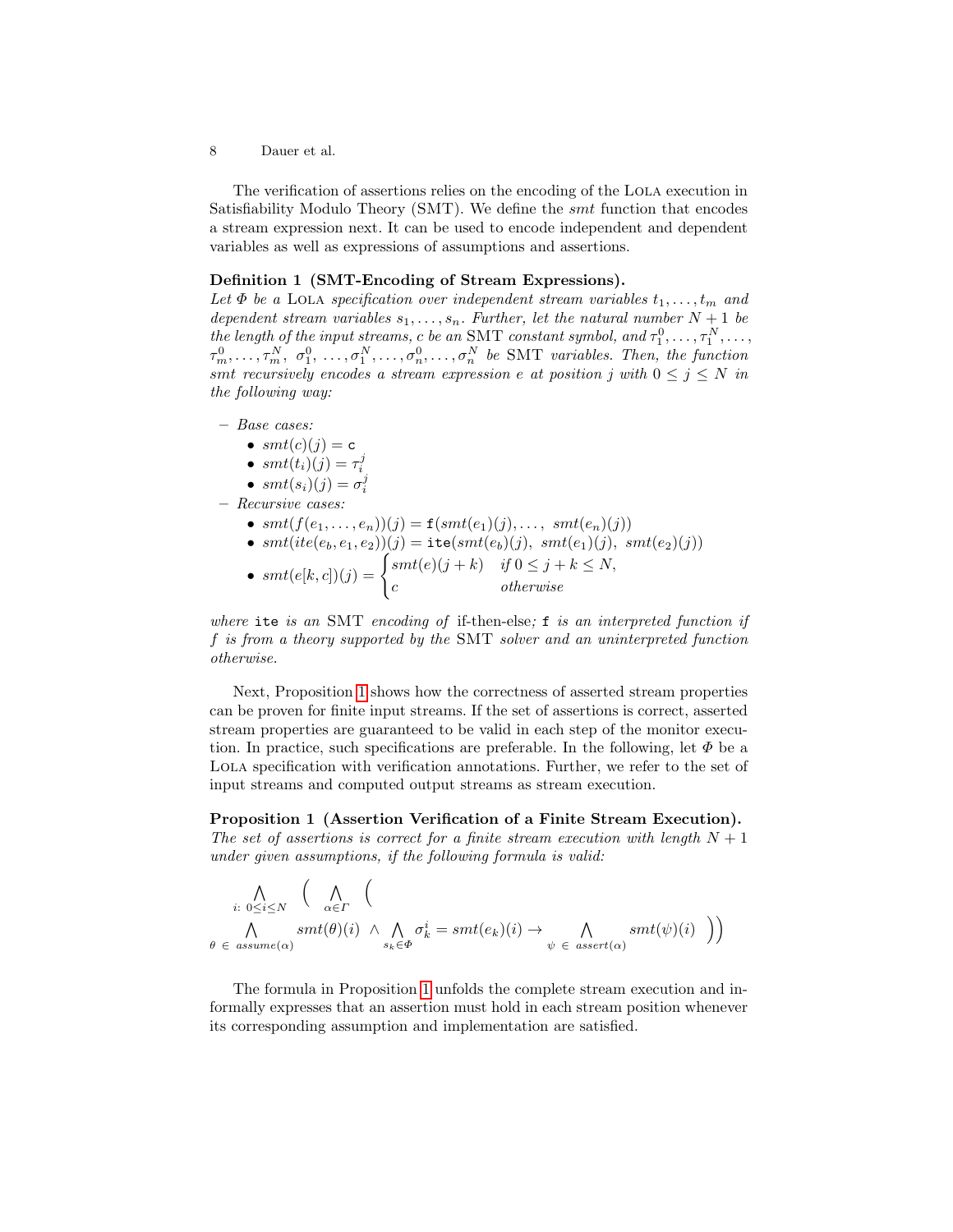The verification of assertions relies on the encoding of the Lola execution in Satisfiability Modulo Theory (SMT). We define the smt function that encodes a stream expression next. It can be used to encode independent and dependent variables as well as expressions of assumptions and assertions.

### Definition 1 (SMT-Encoding of Stream Expressions).

Let  $\Phi$  be a LOLA specification over independent stream variables  $t_1, \ldots, t_m$  and dependent stream variables  $s_1, \ldots, s_n$ . Further, let the natural number  $N + 1$  be the length of the input streams, c be an SMT constant symbol, and  $\tau_1^0, \ldots, \tau_1^N, \ldots$ ,  $\tau_m^0, \ldots, \tau_m^N, \sigma_1^0, \ldots, \sigma_1^N, \ldots, \sigma_n^0, \ldots, \sigma_n^N$  be SMT variables. Then, the function smt recursively encodes a stream expression e at position j with  $0 \le j \le N$  in the following way:

– Base cases:

• 
$$
smt(c)(j) = c
$$

• 
$$
smt(t_i)(j) = \tau_i^j
$$

- $smt(s_i)(j) = \sigma_i^j$
- Recursive cases:
	- $smt(f(e_1,...,e_n))(j) = \mathbf{f}(smt(e_1)(j),..., smt(e_n)(j))$

• 
$$
smt(ite(e_b, e_1, e_2))(j) = \texttt{ite}(smt(e_b)(j), \, smt(e_1)(j), \, smt(e_2)(j))
$$

•  $smt(e[k, c])(j) = \begin{cases} smt(e)(j+k) & \text{if } 0 \leq j+k \leq N, \end{cases}$ c otherwise

where ite is an SMT encoding of if-then-else; f is an interpreted function if f is from a theory supported by the SMT solver and an uninterpreted function otherwise.

Next, Proposition [1](#page-7-0) shows how the correctness of asserted stream properties can be proven for finite input streams. If the set of assertions is correct, asserted stream properties are guaranteed to be valid in each step of the monitor execution. In practice, such specifications are preferable. In the following, let  $\Phi$  be a Lola specification with verification annotations. Further, we refer to the set of input streams and computed output streams as stream execution.

<span id="page-7-0"></span>Proposition 1 (Assertion Verification of a Finite Stream Execution). The set of assertions is correct for a finite stream execution with length  $N+1$ under given assumptions, if the following formula is valid:

$$
\bigwedge_{i: 0 \le i \le N} \left( \bigwedge_{\alpha \in \Gamma} \left( \bigwedge_{\alpha \in \Gamma} \left( \Delta \right) (\alpha) \wedge \bigwedge_{s_k \in \Phi} \sigma_k^i = smt(e_k)(i) \to \bigwedge_{\psi \in assert(\alpha)} smt(\psi)(i) \right) \right)
$$

The formula in Proposition [1](#page-7-0) unfolds the complete stream execution and informally expresses that an assertion must hold in each stream position whenever its corresponding assumption and implementation are satisfied.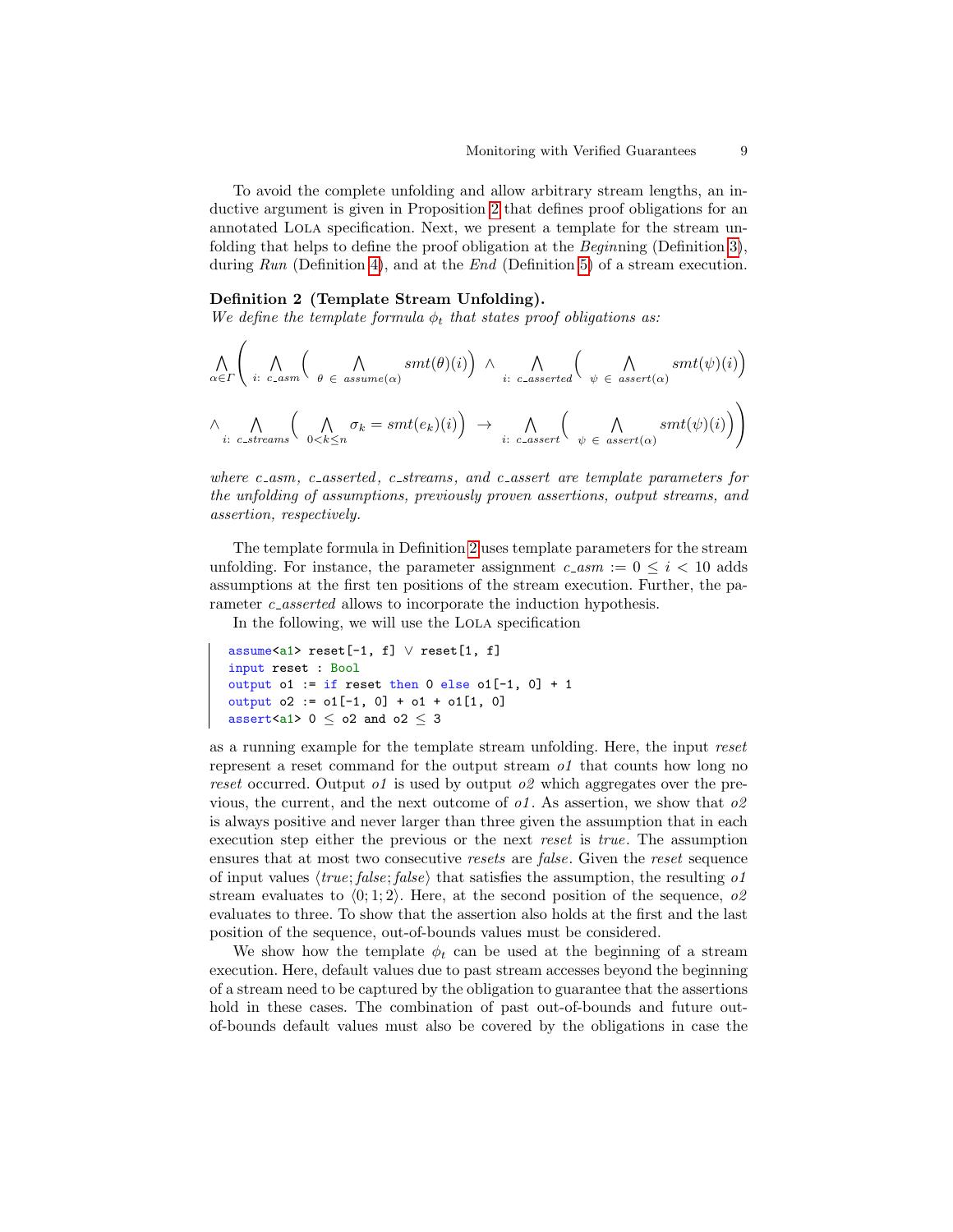To avoid the complete unfolding and allow arbitrary stream lengths, an inductive argument is given in Proposition [2](#page-10-0) that defines proof obligations for an annotated Lola specification. Next, we present a template for the stream unfolding that helps to define the proof obligation at the Beginning (Definition [3\)](#page-9-0), during Run (Definition [4\)](#page-10-1), and at the End (Definition [5\)](#page-10-2) of a stream execution.

#### <span id="page-8-0"></span>Definition 2 (Template Stream Unfolding).

We define the template formula  $\phi_t$  that states proof obligations as:

$$
\bigwedge_{\alpha \in \Gamma} \left( \bigwedge_{i:\ c\_\text{asym}} \left( \bigwedge_{\theta \in \mathit{assume}(\alpha)} smt(\theta)(i) \right) \land \bigwedge_{i:\ c\_\text{aserted}} \left( \bigwedge_{\psi \in \mathit{assert}(\alpha)} smt(\psi)(i) \right) \right)
$$
\n
$$
\land \bigwedge_{i:\ c\_\text{aster}(\alpha)} \left( \bigwedge_{0 < k \le n} \sigma_k = smt(e_k)(i) \right) \rightarrow \bigwedge_{i:\ c\_\text{asert}} \left( \bigwedge_{\psi \in \mathit{assert}(\alpha)} smt(\psi)(i) \right)
$$

where c  $asm$ , c asserted, c streams, and c assert are template parameters for the unfolding of assumptions, previously proven assertions, output streams, and assertion, respectively.

The template formula in Definition [2](#page-8-0) uses template parameters for the stream unfolding. For instance, the parameter assignment  $c\text{-}asm := 0 \le i \le 10$  adds assumptions at the first ten positions of the stream execution. Further, the parameter *c* asserted allows to incorporate the induction hypothesis.

In the following, we will use the LOLA specification

```
assume<a1> reset[-1, f] ∨ reset[1, f]
input reset : Bool
output o1 := if reset then 0 else o1[-1, 0] + 1output o2 := o1[-1, 0] + o1 + o1[1, 0]
assert<a1> 0 \leq 02 and 02 \leq 3
```
as a running example for the template stream unfolding. Here, the input reset represent a reset command for the output stream  $o<sub>1</sub>$  that counts how long no reset occurred. Output of is used by output of which aggregates over the previous, the current, and the next outcome of  $o1$ . As assertion, we show that  $o2$ is always positive and never larger than three given the assumption that in each execution step either the previous or the next reset is true. The assumption ensures that at most two consecutive resets are false. Given the reset sequence of input values  $\langle true; false; false \rangle$  that satisfies the assumption, the resulting of stream evaluates to  $\langle 0; 1; 2 \rangle$ . Here, at the second position of the sequence, o2 evaluates to three. To show that the assertion also holds at the first and the last position of the sequence, out-of-bounds values must be considered.

We show how the template  $\phi_t$  can be used at the beginning of a stream execution. Here, default values due to past stream accesses beyond the beginning of a stream need to be captured by the obligation to guarantee that the assertions hold in these cases. The combination of past out-of-bounds and future outof-bounds default values must also be covered by the obligations in case the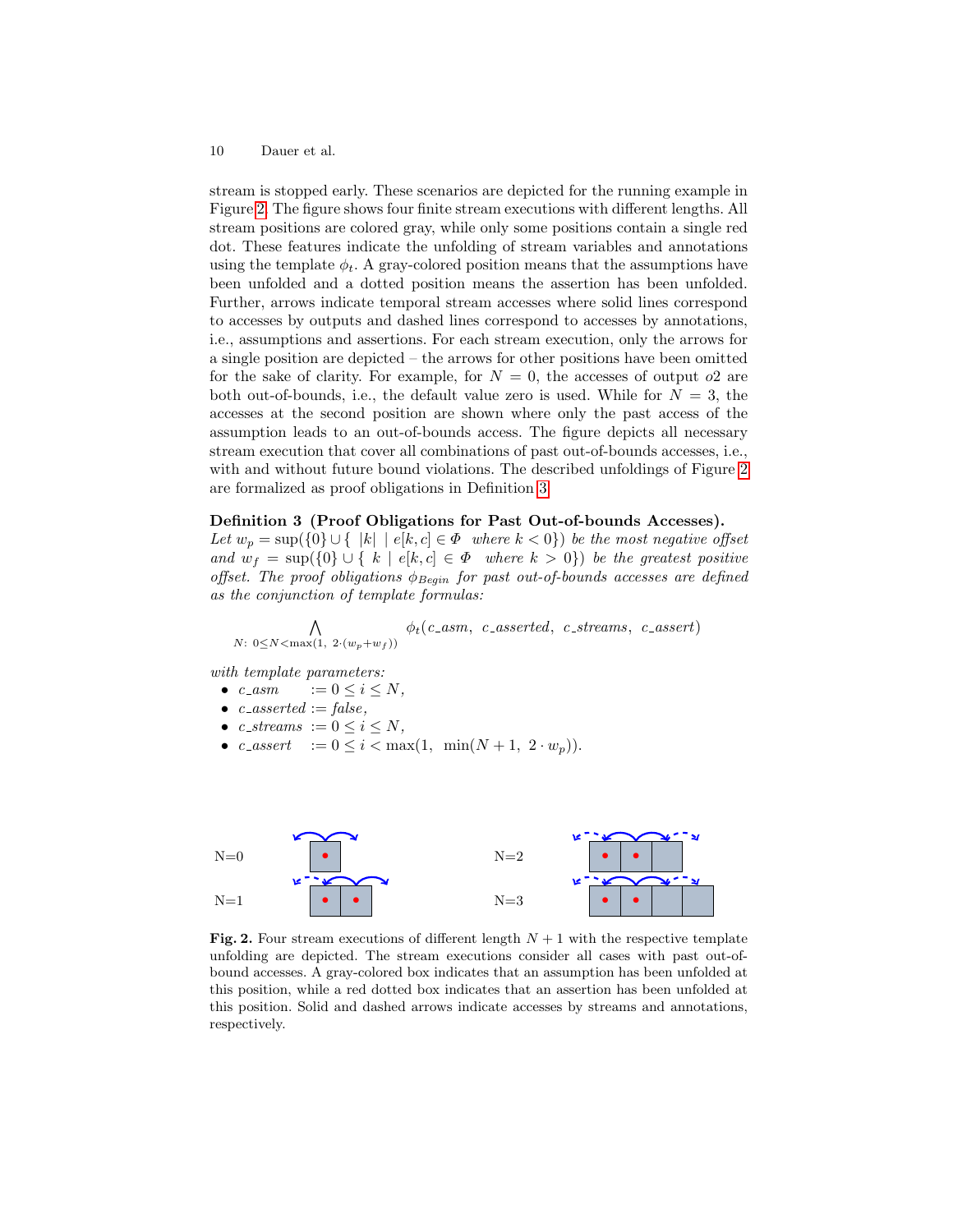stream is stopped early. These scenarios are depicted for the running example in Figure [2.](#page-9-1) The figure shows four finite stream executions with different lengths. All stream positions are colored gray, while only some positions contain a single red dot. These features indicate the unfolding of stream variables and annotations using the template  $\phi_t$ . A gray-colored position means that the assumptions have been unfolded and a dotted position means the assertion has been unfolded. Further, arrows indicate temporal stream accesses where solid lines correspond to accesses by outputs and dashed lines correspond to accesses by annotations, i.e., assumptions and assertions. For each stream execution, only the arrows for a single position are depicted – the arrows for other positions have been omitted for the sake of clarity. For example, for  $N = 0$ , the accesses of output o2 are both out-of-bounds, i.e., the default value zero is used. While for  $N = 3$ , the accesses at the second position are shown where only the past access of the assumption leads to an out-of-bounds access. The figure depicts all necessary stream execution that cover all combinations of past out-of-bounds accesses, i.e., with and without future bound violations. The described unfoldings of Figure [2](#page-9-1) are formalized as proof obligations in Definition [3.](#page-9-0)

### <span id="page-9-0"></span>Definition 3 (Proof Obligations for Past Out-of-bounds Accesses).

Let  $w_p = \sup(\{0\} \cup \{\ |k\| \mid e[k,c] \in \Phi \text{ where } k < 0\})$  be the most negative offset and  $w_f = \sup(\{0\} \cup \{k \mid e[k,c] \in \Phi \text{ where } k > 0\})$  be the greatest positive offset. The proof obligations  $\phi_{Begin}$  for past out-of-bounds accesses are defined as the conjunction of template formulas:

 $\wedge$  $N: 0 \le N < \max(1, 2 \cdot (w_p + w_f))$  $\phi_t(c\_asm, \ \ c\_asserted, \ \ c\_streams, \ \ c\_assert)$ 

with template parameters:

- $c\_{asm}$   $:= 0 \le i \le N$ ,
- $\bullet \ \ c\_asserted := false,$
- c\_streams  $:= 0 \le i \le N$ ,
- c\_assert  $:= 0 \le i < \max(1, \min(N + 1, 2 \cdot w_p)).$



<span id="page-9-1"></span>Fig. 2. Four stream executions of different length  $N + 1$  with the respective template unfolding are depicted. The stream executions consider all cases with past out-ofbound accesses. A gray-colored box indicates that an assumption has been unfolded at this position, while a red dotted box indicates that an assertion has been unfolded at this position. Solid and dashed arrows indicate accesses by streams and annotations, respectively.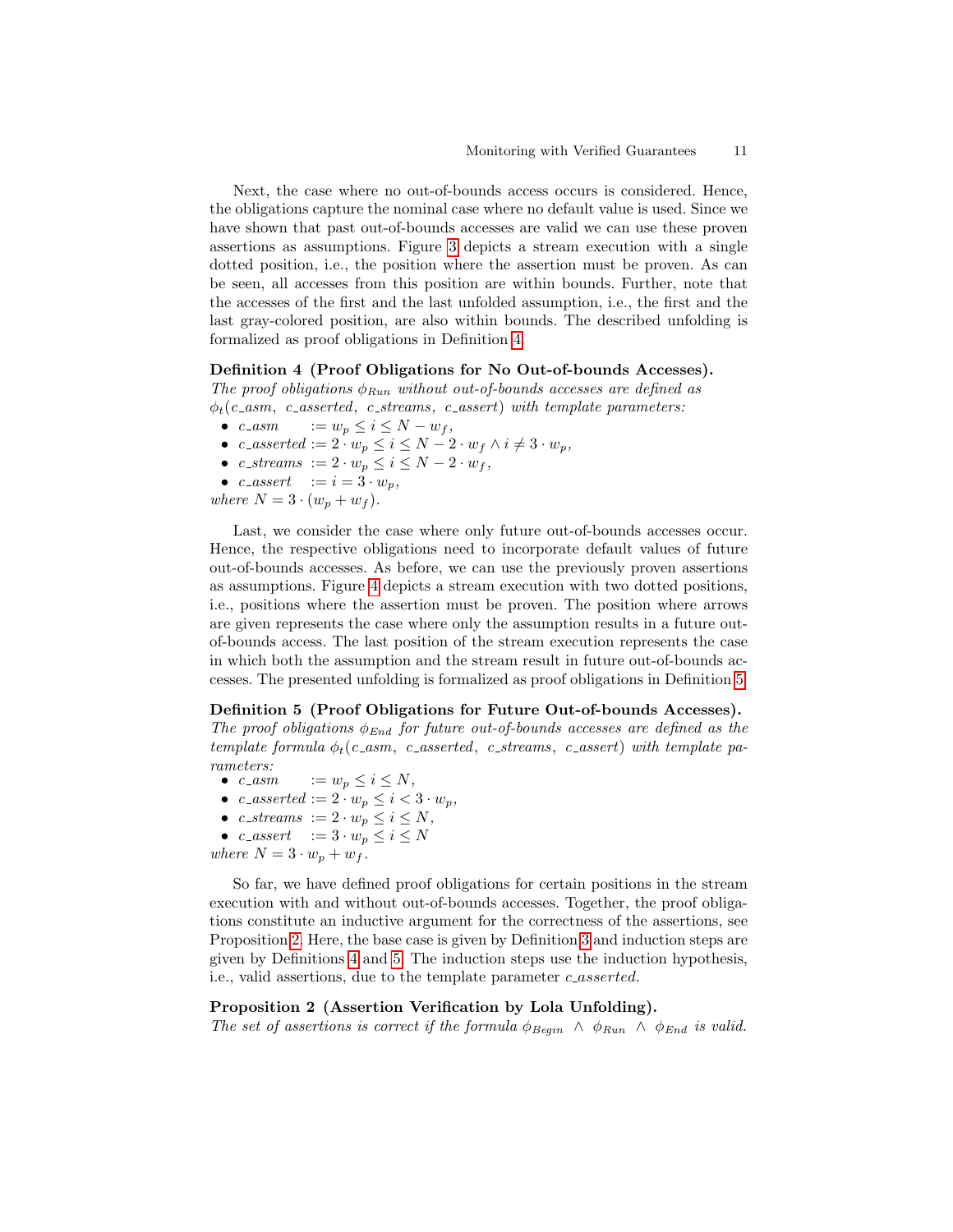Next, the case where no out-of-bounds access occurs is considered. Hence, the obligations capture the nominal case where no default value is used. Since we have shown that past out-of-bounds accesses are valid we can use these proven assertions as assumptions. Figure [3](#page-11-0) depicts a stream execution with a single dotted position, i.e., the position where the assertion must be proven. As can be seen, all accesses from this position are within bounds. Further, note that the accesses of the first and the last unfolded assumption, i.e., the first and the last gray-colored position, are also within bounds. The described unfolding is formalized as proof obligations in Definition [4.](#page-10-1)

#### <span id="page-10-1"></span>Definition 4 (Proof Obligations for No Out-of-bounds Accesses).

The proof obligations  $\phi_{Run}$  without out-of-bounds accesses are defined as  $\phi_t(c_1, c_2)$  asserted, c streams, c assert) with template parameters:

- c\_asm  $:= w_p \leq i \leq N w_f,$
- c\_asserted :=  $2 \cdot w_p \leq i \leq N-2 \cdot w_f \wedge i \neq 3 \cdot w_p$ ,
- c\_streams  $:= 2 \cdot w_p \leq i \leq N 2 \cdot w_f$ ,
- c\_assert  $:= i = 3 \cdot w_p,$
- where  $N = 3 \cdot (w_p + w_f)$ .

Last, we consider the case where only future out-of-bounds accesses occur. Hence, the respective obligations need to incorporate default values of future out-of-bounds accesses. As before, we can use the previously proven assertions as assumptions. Figure [4](#page-11-1) depicts a stream execution with two dotted positions, i.e., positions where the assertion must be proven. The position where arrows are given represents the case where only the assumption results in a future outof-bounds access. The last position of the stream execution represents the case in which both the assumption and the stream result in future out-of-bounds accesses. The presented unfolding is formalized as proof obligations in Definition [5.](#page-10-2)

#### <span id="page-10-2"></span>Definition 5 (Proof Obligations for Future Out-of-bounds Accesses).

The proof obligations  $\phi_{End}$  for future out-of-bounds accesses are defined as the template formula  $\phi_t(c_asm, c_asserted, c_stress, c_assert)$  with template parameters:

- $c\_{asm}$   $:= w_p \leq i \leq N$ ,
- c\_asserted :=  $2 \cdot w_p \leq i < 3 \cdot w_p$ ,
- c\_streams :=  $2 \cdot w_p \leq i \leq N$ ,
- c\_assert  $:= 3 \cdot w_p \leq i \leq N$
- where  $N = 3 \cdot w_p + w_f$ .

So far, we have defined proof obligations for certain positions in the stream execution with and without out-of-bounds accesses. Together, the proof obligations constitute an inductive argument for the correctness of the assertions, see Proposition [2.](#page-10-0) Here, the base case is given by Definition [3](#page-9-0) and induction steps are given by Definitions [4](#page-10-1) and [5.](#page-10-2) The induction steps use the induction hypothesis, i.e., valid assertions, due to the template parameter c\_asserted.

### <span id="page-10-0"></span>Proposition 2 (Assertion Verification by Lola Unfolding).

The set of assertions is correct if the formula  $\phi_{Begin} \wedge \phi_{Run} \wedge \phi_{End}$  is valid.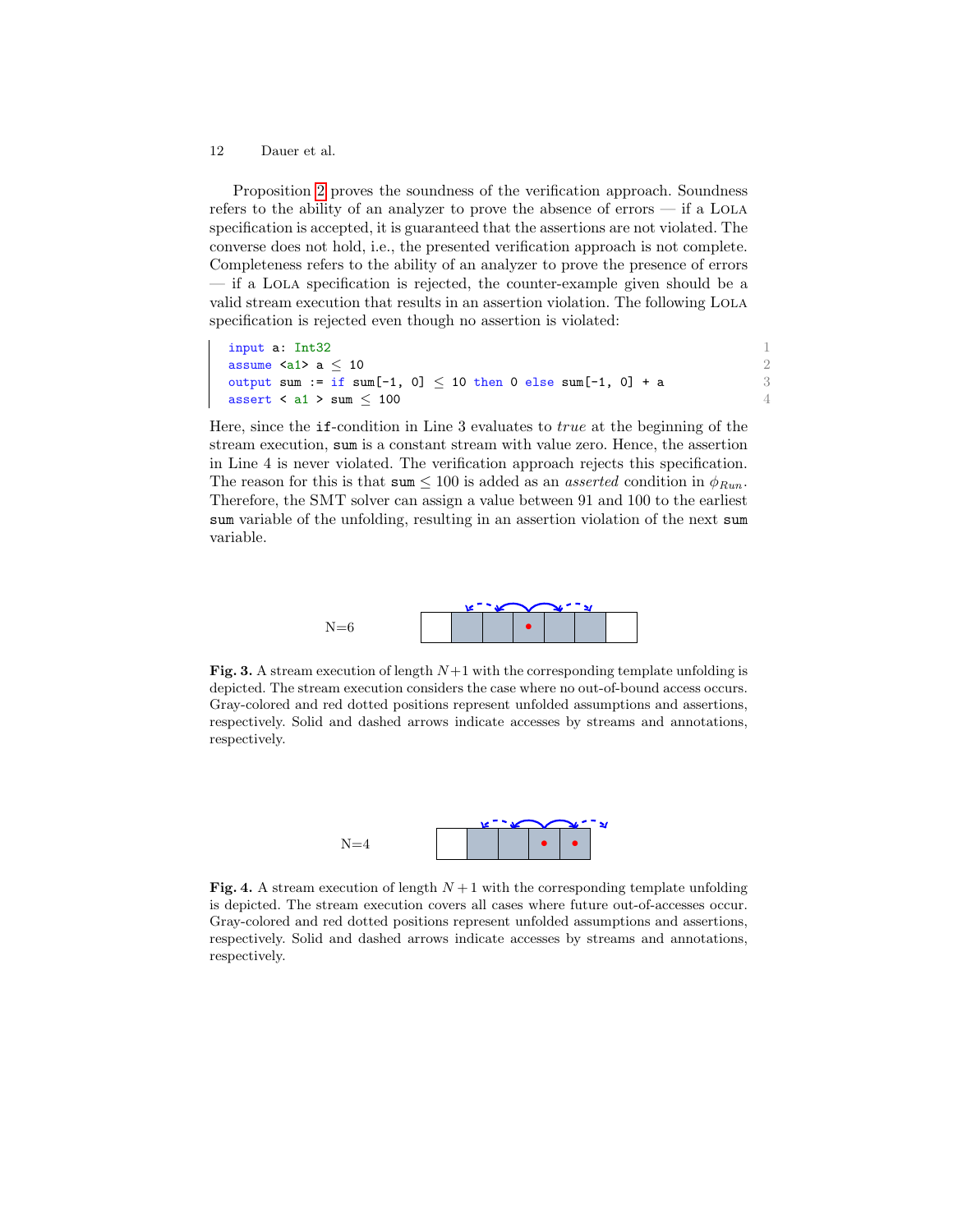Proposition [2](#page-10-0) proves the soundness of the verification approach. Soundness refers to the ability of an analyzer to prove the absence of errors — if a Lola specification is accepted, it is guaranteed that the assertions are not violated. The converse does not hold, i.e., the presented verification approach is not complete. Completeness refers to the ability of an analyzer to prove the presence of errors — if a Lola specification is rejected, the counter-example given should be a valid stream execution that results in an assertion violation. The following Lola specification is rejected even though no assertion is violated:

input a:  $Int32$  1 assume  $\langle a1 \rangle$  a  $\leq 10$  2 output sum := if sum[-1, 0]  $\leq$  10 then 0 else sum[-1, 0] + a 3 assert  $\lt$  a1  $>$  sum  $\leq$  100 4

Here, since the if-condition in Line 3 evaluates to true at the beginning of the stream execution, sum is a constant stream with value zero. Hence, the assertion in Line 4 is never violated. The verification approach rejects this specification. The reason for this is that  $\text{sum} \leq 100$  is added as an *asserted* condition in  $\phi_{Run}$ . Therefore, the SMT solver can assign a value between 91 and 100 to the earliest sum variable of the unfolding, resulting in an assertion violation of the next sum variable.



<span id="page-11-0"></span>Fig. 3. A stream execution of length  $N+1$  with the corresponding template unfolding is depicted. The stream execution considers the case where no out-of-bound access occurs. Gray-colored and red dotted positions represent unfolded assumptions and assertions, respectively. Solid and dashed arrows indicate accesses by streams and annotations, respectively.



<span id="page-11-1"></span>Fig. 4. A stream execution of length  $N+1$  with the corresponding template unfolding is depicted. The stream execution covers all cases where future out-of-accesses occur. Gray-colored and red dotted positions represent unfolded assumptions and assertions, respectively. Solid and dashed arrows indicate accesses by streams and annotations, respectively.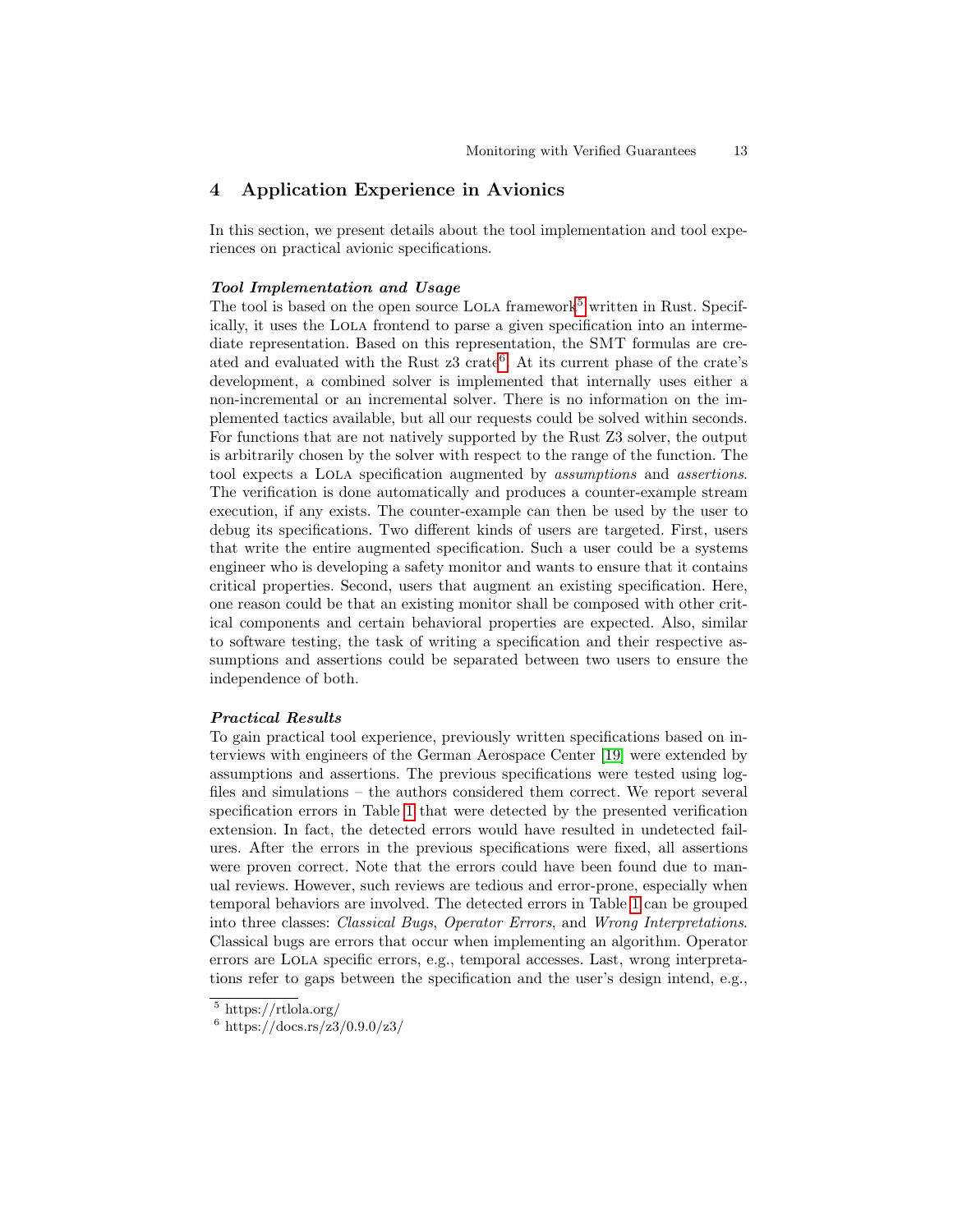## 4 Application Experience in Avionics

In this section, we present details about the tool implementation and tool experiences on practical avionic specifications.

### Tool Implementation and Usage

The tool is based on the open source LOLA framework<sup>[5](#page-12-0)</sup> written in Rust. Specifically, it uses the Lola frontend to parse a given specification into an intermediate representation. Based on this representation, the SMT formulas are created and evaluated with the Rust  $z3$  crate<sup>[6](#page-12-1)</sup>. At its current phase of the crate's development, a combined solver is implemented that internally uses either a non-incremental or an incremental solver. There is no information on the implemented tactics available, but all our requests could be solved within seconds. For functions that are not natively supported by the Rust Z3 solver, the output is arbitrarily chosen by the solver with respect to the range of the function. The tool expects a Lola specification augmented by assumptions and assertions. The verification is done automatically and produces a counter-example stream execution, if any exists. The counter-example can then be used by the user to debug its specifications. Two different kinds of users are targeted. First, users that write the entire augmented specification. Such a user could be a systems engineer who is developing a safety monitor and wants to ensure that it contains critical properties. Second, users that augment an existing specification. Here, one reason could be that an existing monitor shall be composed with other critical components and certain behavioral properties are expected. Also, similar to software testing, the task of writing a specification and their respective assumptions and assertions could be separated between two users to ensure the independence of both.

### Practical Results

To gain practical tool experience, previously written specifications based on interviews with engineers of the German Aerospace Center [\[19\]](#page-18-9) were extended by assumptions and assertions. The previous specifications were tested using logfiles and simulations – the authors considered them correct. We report several specification errors in Table [1](#page-13-0) that were detected by the presented verification extension. In fact, the detected errors would have resulted in undetected failures. After the errors in the previous specifications were fixed, all assertions were proven correct. Note that the errors could have been found due to manual reviews. However, such reviews are tedious and error-prone, especially when temporal behaviors are involved. The detected errors in Table [1](#page-13-0) can be grouped into three classes: Classical Bugs, Operator Errors, and Wrong Interpretations. Classical bugs are errors that occur when implementing an algorithm. Operator errors are Lola specific errors, e.g., temporal accesses. Last, wrong interpretations refer to gaps between the specification and the user's design intend, e.g.,

<span id="page-12-0"></span><sup>5</sup> https://rtlola.org/

<span id="page-12-1"></span> $6 \frac{\text{https://docs.rs/z3/0.9.0/z3/}}{$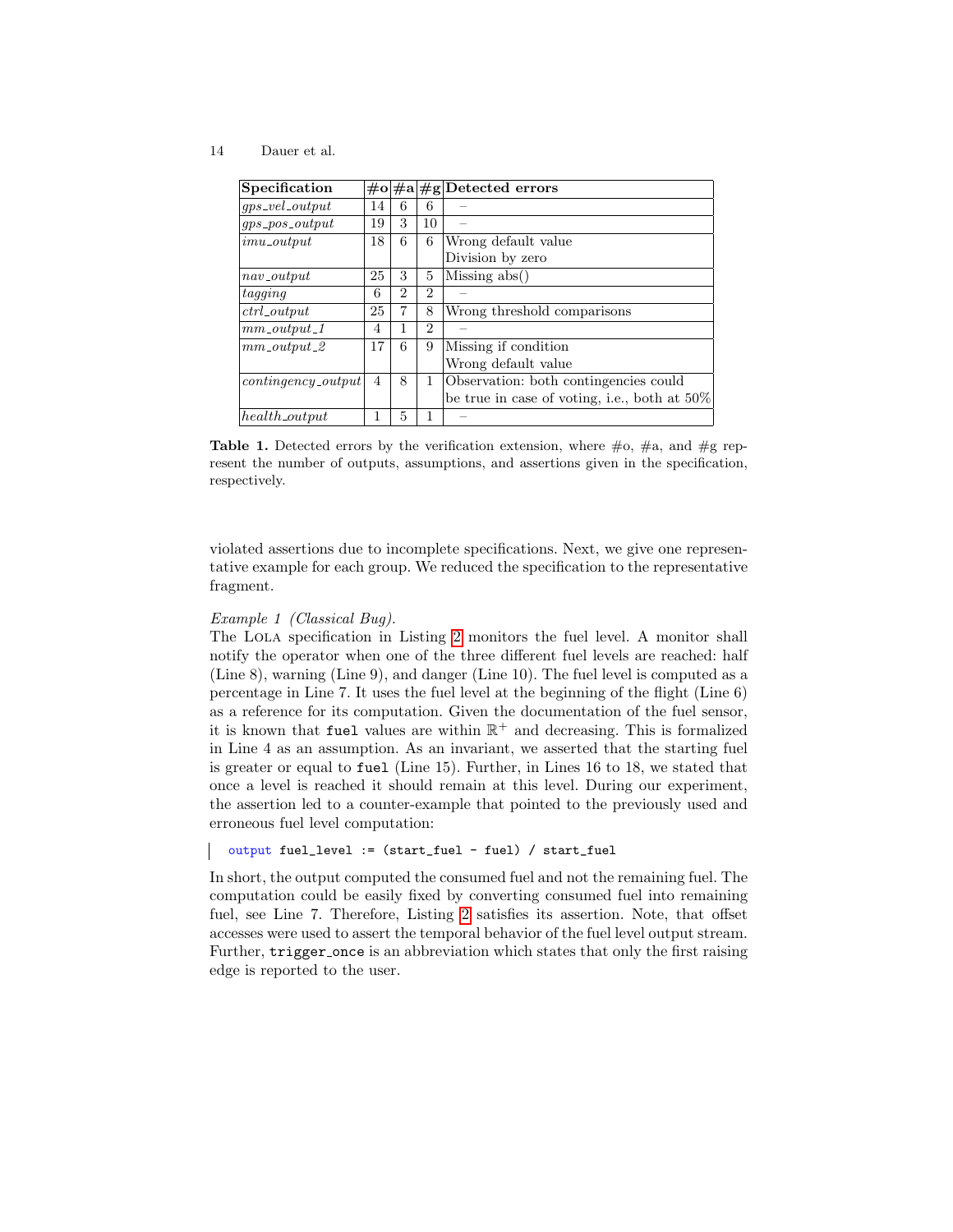| Specification         |    |                |                | $\#o \#a \#g $ Detected errors               |
|-----------------------|----|----------------|----------------|----------------------------------------------|
| $qps\_vel\_output$    | 14 | 6              | 6              |                                              |
| $qps\_pos\_output$    | 19 | 3              | 10             |                                              |
| $imu\_output$         | 18 | 6              | 6              | Wrong default value                          |
|                       |    |                |                | Division by zero                             |
| $nav\_output$         | 25 | 3              | 5              | Missing abs()                                |
| taqq                  | 6  | $\overline{2}$ | $\overline{2}$ |                                              |
| $ctrl_{}_{output}$    | 25 | 7              | 8              | Wrong threshold comparisons                  |
| $mm\_output\_1$       | 4  | 1              | 2              |                                              |
| $mm\_output\_2$       | 17 | 6              | 9              | Missing if condition                         |
|                       |    |                |                | Wrong default value                          |
| $continqency\_output$ | 4  | 8              | 1              | Observation: both contingencies could        |
|                       |    |                |                | be true in case of voting, i.e., both at 50% |
| $health\_output$      | 1  | 5              |                |                                              |

<span id="page-13-0"></span>Table 1. Detected errors by the verification extension, where  $\#o$ ,  $\#a$ , and  $\#g$  represent the number of outputs, assumptions, and assertions given in the specification, respectively.

violated assertions due to incomplete specifications. Next, we give one representative example for each group. We reduced the specification to the representative fragment.

#### Example 1 (Classical Bug).

The Lola specification in Listing [2](#page-14-0) monitors the fuel level. A monitor shall notify the operator when one of the three different fuel levels are reached: half (Line 8), warning (Line 9), and danger (Line 10). The fuel level is computed as a percentage in Line 7. It uses the fuel level at the beginning of the flight (Line 6) as a reference for its computation. Given the documentation of the fuel sensor, it is known that fuel values are within  $\mathbb{R}^+$  and decreasing. This is formalized in Line 4 as an assumption. As an invariant, we asserted that the starting fuel is greater or equal to fuel (Line 15). Further, in Lines 16 to 18, we stated that once a level is reached it should remain at this level. During our experiment, the assertion led to a counter-example that pointed to the previously used and erroneous fuel level computation:

output fuel\_level := (start\_fuel - fuel) / start\_fuel

In short, the output computed the consumed fuel and not the remaining fuel. The computation could be easily fixed by converting consumed fuel into remaining fuel, see Line 7. Therefore, Listing [2](#page-14-0) satisfies its assertion. Note, that offset accesses were used to assert the temporal behavior of the fuel level output stream. Further, trigger once is an abbreviation which states that only the first raising edge is reported to the user.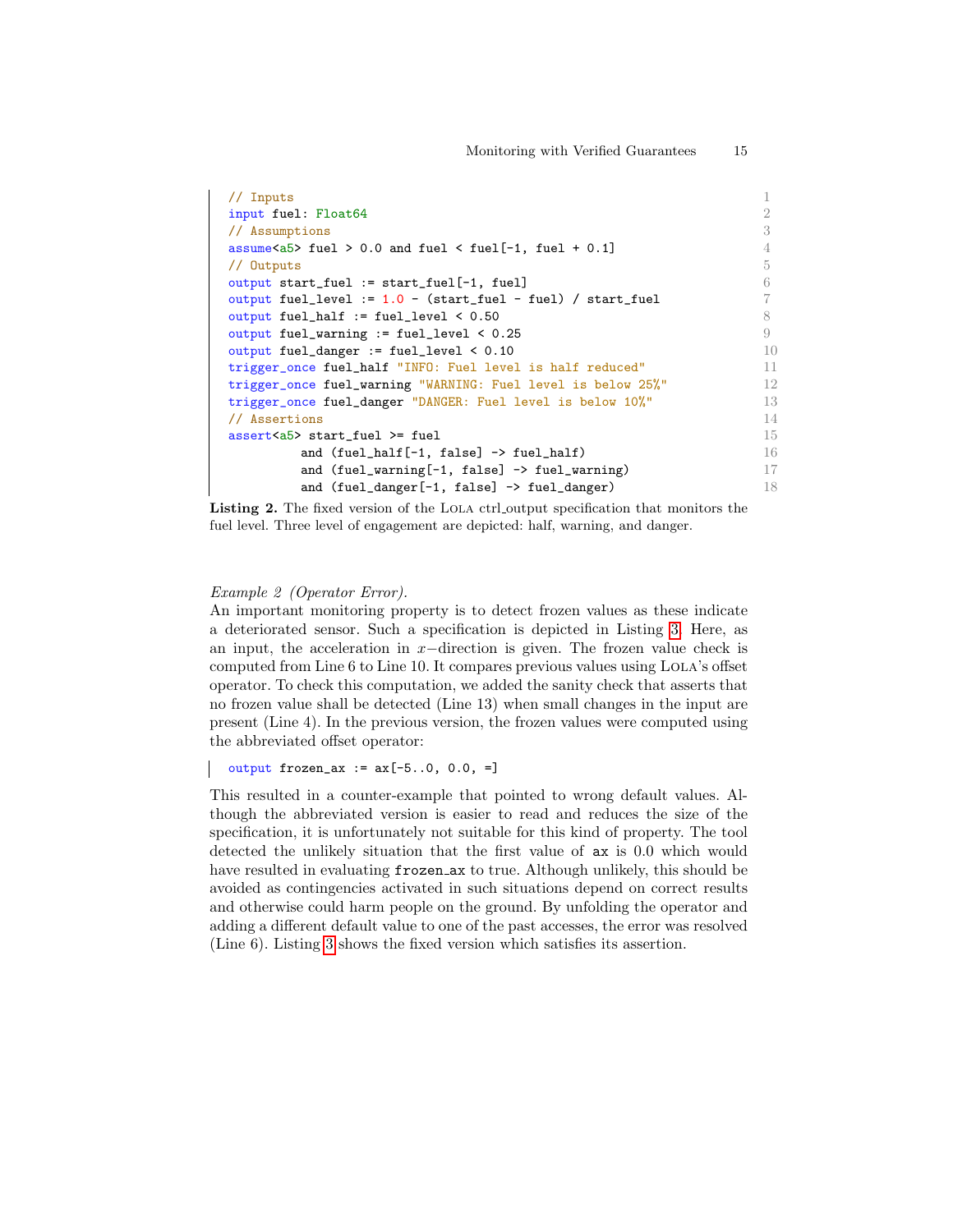```
\frac{1}{2} Inputs 1
input fuel: Float64 2
// Assumptions 3
assume\langle a5 \rangle fuel > 0.0 and fuel \langle fuel[-1, fuel + 0.1] 4
// Outputs 5
output start_fuel := start_fuel[-1, fuel] 6
output fuel_level := 1.0 - (start\_fuel - fuel) / start\_fuel 7
output fuel_half := fuel_level \leq 0.50 8
output fuel_warning := fuel_level < 0.25 9
output fuel_danger := fuel_level < 0.10 10
trigger_once fuel_half "INFO: Fuel level is half reduced" 11
trigger_once fuel_warning "WARNING: Fuel level is below 25%" 12
trigger_once fuel_danger "DANGER: Fuel level is below 10%" 13
// Assertions 14
\text{assert}\leq \text{a5}> start_fuel >= fuel 15
      and (\text{fuel\_half}[-1, \text{ false}] \rightarrow \text{fuel\_half})<br>and (\text{fuel\_warmer}[-1, \text{ false}] \rightarrow \text{fuel} warning) 17
      and (fuel_warning[-1, false] -> fuel_warning)
      and (fuel_danger[-1, false] -> fuel_danger) 18
```
Listing 2. The fixed version of the LOLA ctrl output specification that monitors the fuel level. Three level of engagement are depicted: half, warning, and danger.

### Example 2 (Operator Error).

An important monitoring property is to detect frozen values as these indicate a deteriorated sensor. Such a specification is depicted in Listing [3.](#page-15-0) Here, as an input, the acceleration in x−direction is given. The frozen value check is computed from Line 6 to Line 10. It compares previous values using LOLA's offset operator. To check this computation, we added the sanity check that asserts that no frozen value shall be detected (Line 13) when small changes in the input are present (Line 4). In the previous version, the frozen values were computed using the abbreviated offset operator:

```
output frozen_ax := ax[-5..0, 0.0, =]
```
This resulted in a counter-example that pointed to wrong default values. Although the abbreviated version is easier to read and reduces the size of the specification, it is unfortunately not suitable for this kind of property. The tool detected the unlikely situation that the first value of ax is 0.0 which would have resulted in evaluating frozen ax to true. Although unlikely, this should be avoided as contingencies activated in such situations depend on correct results and otherwise could harm people on the ground. By unfolding the operator and adding a different default value to one of the past accesses, the error was resolved (Line 6). Listing [3](#page-15-0) shows the fixed version which satisfies its assertion.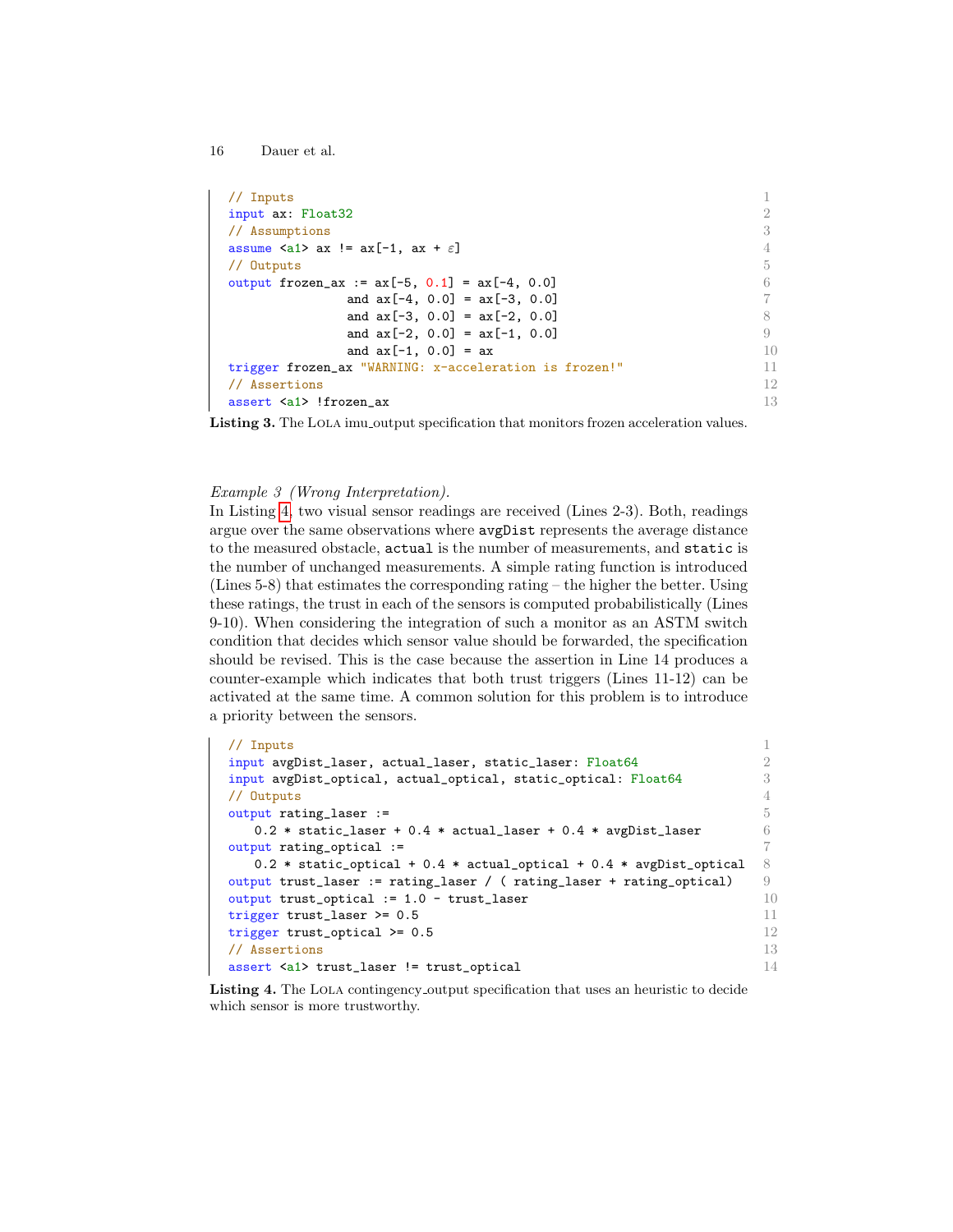```
16 Dauer et al.
```
<span id="page-15-0"></span>

| // Inputs                                                    |     |
|--------------------------------------------------------------|-----|
| input ax: Float32                                            | 2   |
| // Assumptions                                               |     |
| assume $\langle a1 \rangle$ ax != $ax[-1, ax + \varepsilon]$ |     |
| // Outputs                                                   | 5   |
| output frozen_ax := $ax[-5, 0.1] = ax[-4, 0.0]$              |     |
| and $ax[-4, 0.0] = ax[-3, 0.0]$                              |     |
| and $ax[-3, 0.0] = ax[-2, 0.0]$                              |     |
| and $ax[-2, 0.0] = ax[-1, 0.0]$                              | 9   |
| and $ax[-1, 0.0] = ax$                                       | 10  |
| trigger frozen_ax "WARNING: x-acceleration is frozen!"       | 11  |
| // Assertions                                                | 12. |
| assert <a1> !frozen ax</a1>                                  | 13  |

Listing 3. The LOLA imu output specification that monitors frozen acceleration values.

#### Example 3 (Wrong Interpretation).

In Listing [4,](#page-15-1) two visual sensor readings are received (Lines 2-3). Both, readings argue over the same observations where avgDist represents the average distance to the measured obstacle, actual is the number of measurements, and static is the number of unchanged measurements. A simple rating function is introduced (Lines 5-8) that estimates the corresponding rating – the higher the better. Using these ratings, the trust in each of the sensors is computed probabilistically (Lines 9-10). When considering the integration of such a monitor as an ASTM switch condition that decides which sensor value should be forwarded, the specification should be revised. This is the case because the assertion in Line 14 produces a counter-example which indicates that both trust triggers (Lines 11-12) can be activated at the same time. A common solution for this problem is to introduce a priority between the sensors.

```
// Inputs 1
\frac{1}{2} input avgDist_laser, actual_laser, static_laser: Float64
input avgDist_optical, actual_optical, static_optical: Float64 3
// Outputs 4
output rating_laser := 5
  0.2 * static_laser + 0.4 * actual_laser + 0.4 * avgDist_laser 6
output rating_optical := 7
  0.2 * static_optical + 0.4 * actual_optical + 0.4 * avgDist_optical 8output trust_laser := rating_laser / ( rating_laser + rating_optical) 9output trust_optical := 1.0 - trust_laser 10
trigger trust_laser >= 0.5 11
trigger trust_optical >= 0.5 12
// Assertions 13
assert <a1> trust_laser != trust_optical 14
```
Listing 4. The LOLA contingency output specification that uses an heuristic to decide which sensor is more trustworthy.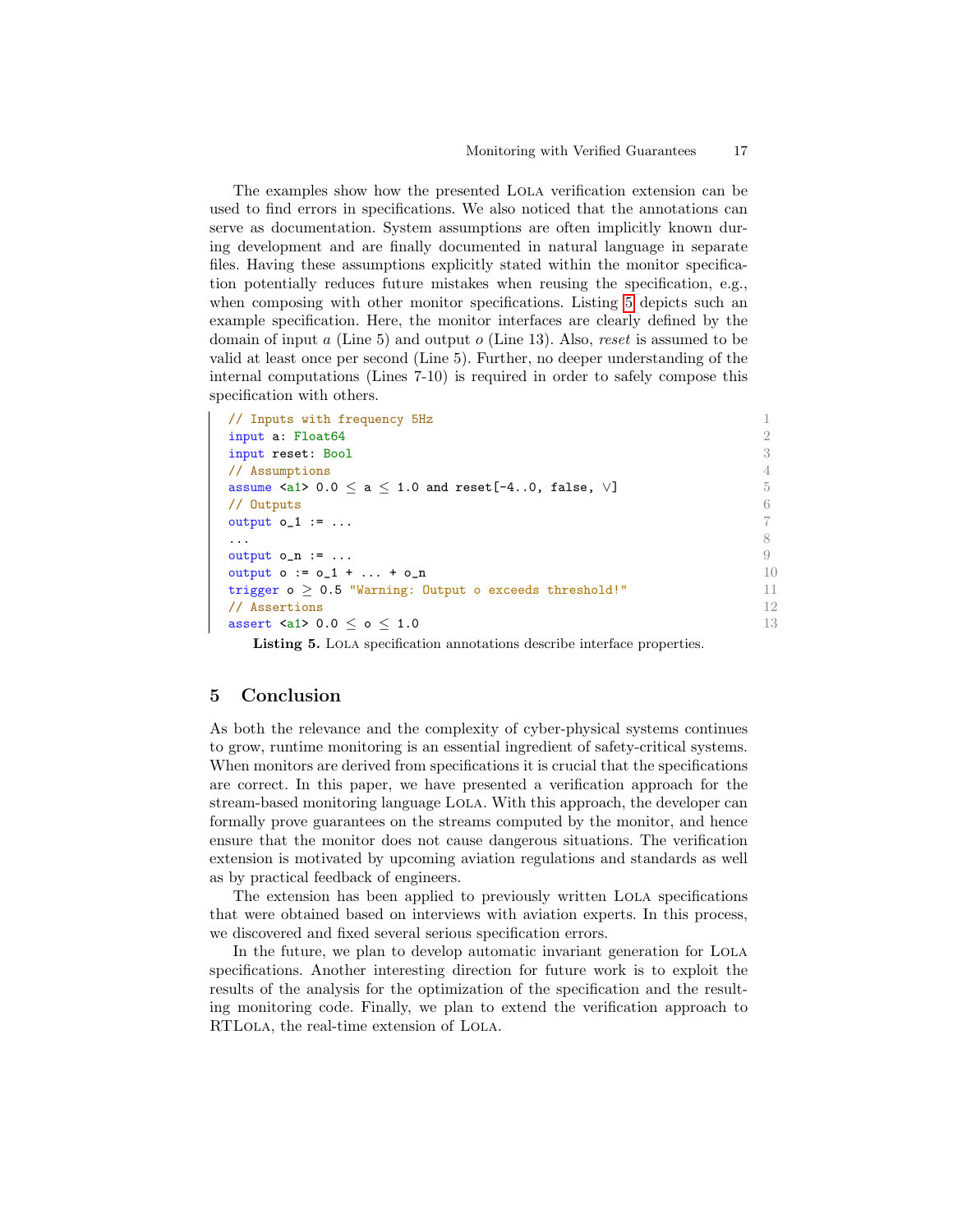The examples show how the presented Lola verification extension can be used to find errors in specifications. We also noticed that the annotations can serve as documentation. System assumptions are often implicitly known during development and are finally documented in natural language in separate files. Having these assumptions explicitly stated within the monitor specification potentially reduces future mistakes when reusing the specification, e.g., when composing with other monitor specifications. Listing [5](#page-16-0) depicts such an example specification. Here, the monitor interfaces are clearly defined by the domain of input  $a$  (Line 5) and output  $o$  (Line 13). Also, reset is assumed to be valid at least once per second (Line 5). Further, no deeper understanding of the internal computations (Lines 7-10) is required in order to safely compose this specification with others.

<span id="page-16-0"></span>

| // Inputs with frequency 5Hz                                                                        |    |
|-----------------------------------------------------------------------------------------------------|----|
| input a: Float64                                                                                    |    |
| input reset: Bool                                                                                   | 3  |
| // Assumptions                                                                                      |    |
| assume $\langle a1 \rangle$ 0.0 $\langle a \rangle$ a $\langle 1.0$ and reset [-40, false, $\vee$ ] | 5  |
| // Outputs                                                                                          | 6  |
| output $o_1 := \ldots$                                                                              |    |
|                                                                                                     |    |
| output $o_n := \ldots$                                                                              | 9  |
| output $o := o_1 +  + o_n$                                                                          | 10 |
| trigger $o > 0.5$ "Warning: Output $o$ exceeds threshold!"                                          | 11 |
| // Assertions                                                                                       | 12 |
| assert $\langle 21 \rangle$ 0.0 $\langle 0 \rangle$ 6 $\langle 1.0 \rangle$                         | 13 |
|                                                                                                     |    |

Listing 5. Lola specification annotations describe interface properties.

### 5 Conclusion

As both the relevance and the complexity of cyber-physical systems continues to grow, runtime monitoring is an essential ingredient of safety-critical systems. When monitors are derived from specifications it is crucial that the specifications are correct. In this paper, we have presented a verification approach for the stream-based monitoring language Lola. With this approach, the developer can formally prove guarantees on the streams computed by the monitor, and hence ensure that the monitor does not cause dangerous situations. The verification extension is motivated by upcoming aviation regulations and standards as well as by practical feedback of engineers.

The extension has been applied to previously written Lola specifications that were obtained based on interviews with aviation experts. In this process, we discovered and fixed several serious specification errors.

In the future, we plan to develop automatic invariant generation for LOLA specifications. Another interesting direction for future work is to exploit the results of the analysis for the optimization of the specification and the resulting monitoring code. Finally, we plan to extend the verification approach to RTLola, the real-time extension of Lola.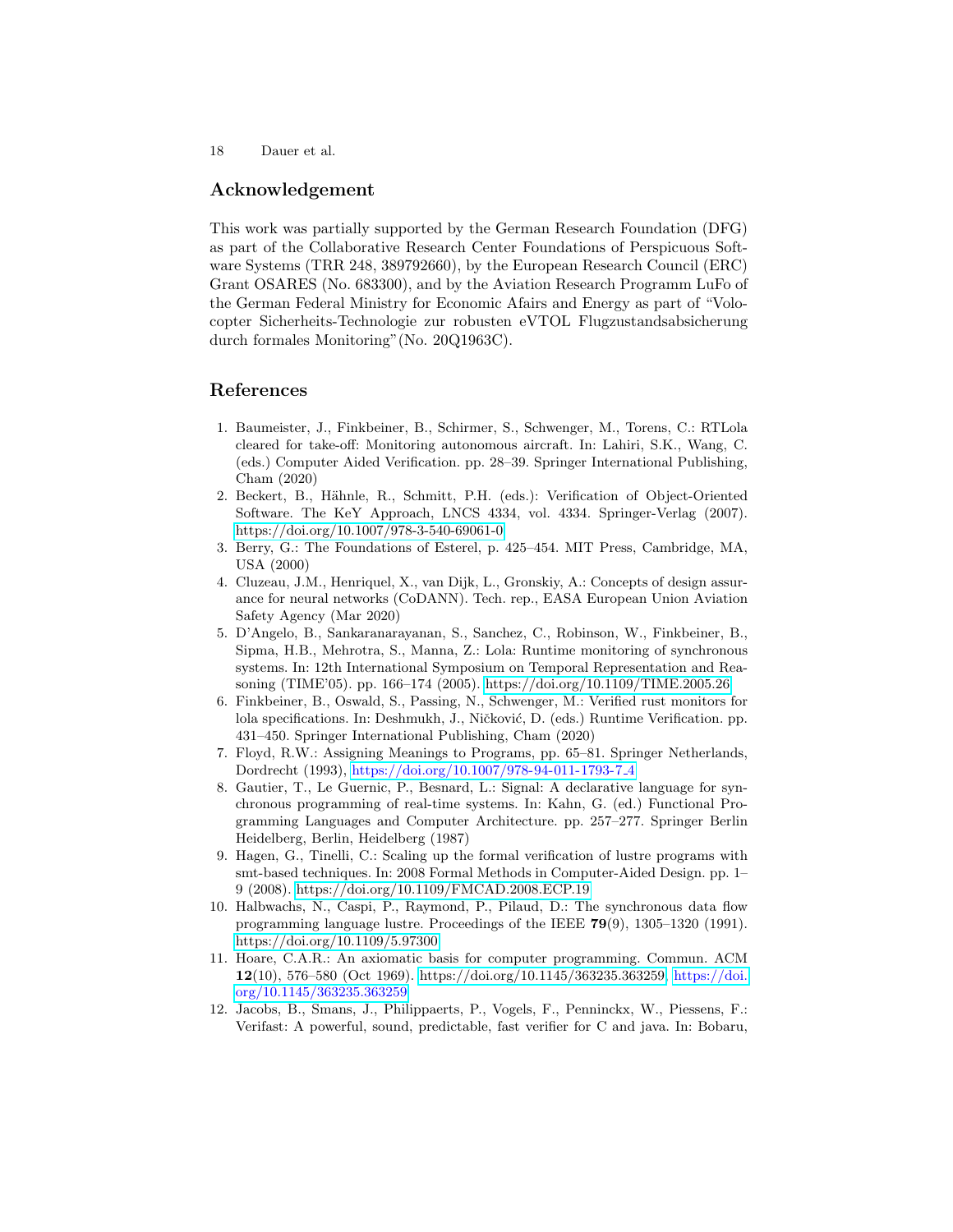### Acknowledgement

This work was partially supported by the German Research Foundation (DFG) as part of the Collaborative Research Center Foundations of Perspicuous Software Systems (TRR 248, 389792660), by the European Research Council (ERC) Grant OSARES (No. 683300), and by the Aviation Research Programm LuFo of the German Federal Ministry for Economic Afairs and Energy as part of "Volocopter Sicherheits-Technologie zur robusten eVTOL Flugzustandsabsicherung durch formales Monitoring"(No. 20Q1963C).

### References

- <span id="page-17-2"></span>1. Baumeister, J., Finkbeiner, B., Schirmer, S., Schwenger, M., Torens, C.: RTLola cleared for take-off: Monitoring autonomous aircraft. In: Lahiri, S.K., Wang, C. (eds.) Computer Aided Verification. pp. 28–39. Springer International Publishing, Cham (2020)
- <span id="page-17-6"></span>2. Beckert, B., Hähnle, R., Schmitt, P.H. (eds.): Verification of Object-Oriented Software. The KeY Approach, LNCS 4334, vol. 4334. Springer-Verlag (2007). <https://doi.org/10.1007/978-3-540-69061-0>
- <span id="page-17-9"></span>3. Berry, G.: The Foundations of Esterel, p. 425–454. MIT Press, Cambridge, MA, USA (2000)
- <span id="page-17-3"></span>4. Cluzeau, J.M., Henriquel, X., van Dijk, L., Gronskiy, A.: Concepts of design assurance for neural networks (CoDANN). Tech. rep., EASA European Union Aviation Safety Agency (Mar 2020)
- <span id="page-17-0"></span>5. D'Angelo, B., Sankaranarayanan, S., Sanchez, C., Robinson, W., Finkbeiner, B., Sipma, H.B., Mehrotra, S., Manna, Z.: Lola: Runtime monitoring of synchronous systems. In: 12th International Symposium on Temporal Representation and Reasoning (TIME'05). pp. 166–174 (2005).<https://doi.org/10.1109/TIME.2005.26>
- <span id="page-17-1"></span>6. Finkbeiner, B., Oswald, S., Passing, N., Schwenger, M.: Verified rust monitors for lola specifications. In: Deshmukh, J., Ničković, D. (eds.) Runtime Verification. pp. 431–450. Springer International Publishing, Cham (2020)
- <span id="page-17-5"></span>7. Floyd, R.W.: Assigning Meanings to Programs, pp. 65–81. Springer Netherlands, Dordrecht (1993), [https://doi.org/10.1007/978-94-011-1793-7](https://doi.org/10.1007/978-94-011-1793-7_4) 4
- <span id="page-17-10"></span>8. Gautier, T., Le Guernic, P., Besnard, L.: Signal: A declarative language for synchronous programming of real-time systems. In: Kahn, G. (ed.) Functional Programming Languages and Computer Architecture. pp. 257–277. Springer Berlin Heidelberg, Berlin, Heidelberg (1987)
- <span id="page-17-11"></span>9. Hagen, G., Tinelli, C.: Scaling up the formal verification of lustre programs with smt-based techniques. In: 2008 Formal Methods in Computer-Aided Design. pp. 1– 9 (2008).<https://doi.org/10.1109/FMCAD.2008.ECP.19>
- <span id="page-17-8"></span>10. Halbwachs, N., Caspi, P., Raymond, P., Pilaud, D.: The synchronous data flow programming language lustre. Proceedings of the IEEE 79(9), 1305–1320 (1991). <https://doi.org/10.1109/5.97300>
- <span id="page-17-4"></span>11. Hoare, C.A.R.: An axiomatic basis for computer programming. Commun. ACM 12(10), 576–580 (Oct 1969). [https://doi.org/10.1145/363235.363259,](https://doi.org/10.1145/363235.363259) [https://doi.](https://doi.org/10.1145/363235.363259) [org/10.1145/363235.363259](https://doi.org/10.1145/363235.363259)
- <span id="page-17-7"></span>12. Jacobs, B., Smans, J., Philippaerts, P., Vogels, F., Penninckx, W., Piessens, F.: Verifast: A powerful, sound, predictable, fast verifier for C and java. In: Bobaru,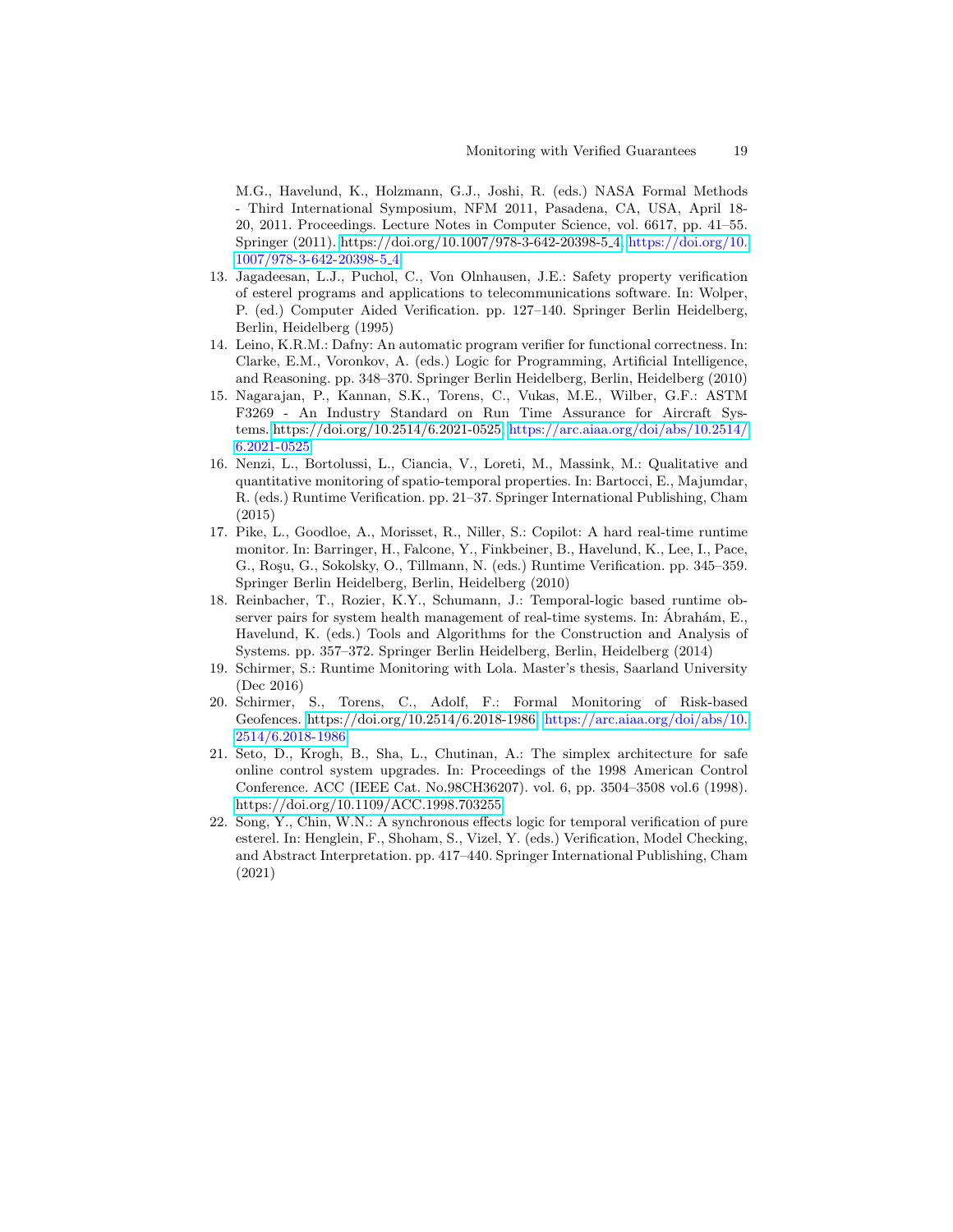M.G., Havelund, K., Holzmann, G.J., Joshi, R. (eds.) NASA Formal Methods - Third International Symposium, NFM 2011, Pasadena, CA, USA, April 18- 20, 2011. Proceedings. Lecture Notes in Computer Science, vol. 6617, pp. 41–55. Springer (2011). [https://doi.org/10.1007/978-3-642-20398-5](https://doi.org/10.1007/978-3-642-20398-5_4) 4, [https://doi.org/10.](https://doi.org/10.1007/978-3-642-20398-5_4) [1007/978-3-642-20398-5](https://doi.org/10.1007/978-3-642-20398-5_4) 4

- <span id="page-18-6"></span>13. Jagadeesan, L.J., Puchol, C., Von Olnhausen, J.E.: Safety property verification of esterel programs and applications to telecommunications software. In: Wolper, P. (ed.) Computer Aided Verification. pp. 127–140. Springer Berlin Heidelberg, Berlin, Heidelberg (1995)
- <span id="page-18-5"></span>14. Leino, K.R.M.: Dafny: An automatic program verifier for functional correctness. In: Clarke, E.M., Voronkov, A. (eds.) Logic for Programming, Artificial Intelligence, and Reasoning. pp. 348–370. Springer Berlin Heidelberg, Berlin, Heidelberg (2010)
- <span id="page-18-2"></span>15. Nagarajan, P., Kannan, S.K., Torens, C., Vukas, M.E., Wilber, G.F.: ASTM F3269 - An Industry Standard on Run Time Assurance for Aircraft Systems. [https://doi.org/10.2514/6.2021-0525,](https://doi.org/10.2514/6.2021-0525) [https://arc.aiaa.org/doi/abs/10.2514/](https://arc.aiaa.org/doi/abs/10.2514/6.2021-0525) [6.2021-0525](https://arc.aiaa.org/doi/abs/10.2514/6.2021-0525)
- <span id="page-18-1"></span>16. Nenzi, L., Bortolussi, L., Ciancia, V., Loreti, M., Massink, M.: Qualitative and quantitative monitoring of spatio-temporal properties. In: Bartocci, E., Majumdar, R. (eds.) Runtime Verification. pp. 21–37. Springer International Publishing, Cham (2015)
- <span id="page-18-4"></span>17. Pike, L., Goodloe, A., Morisset, R., Niller, S.: Copilot: A hard real-time runtime monitor. In: Barringer, H., Falcone, Y., Finkbeiner, B., Havelund, K., Lee, I., Pace, G., Roşu, G., Sokolsky, O., Tillmann, N. (eds.) Runtime Verification. pp. 345–359. Springer Berlin Heidelberg, Berlin, Heidelberg (2010)
- <span id="page-18-0"></span>18. Reinbacher, T., Rozier, K.Y., Schumann, J.: Temporal-logic based runtime observer pairs for system health management of real-time systems. In: Abrahám, E., Havelund, K. (eds.) Tools and Algorithms for the Construction and Analysis of Systems. pp. 357–372. Springer Berlin Heidelberg, Berlin, Heidelberg (2014)
- <span id="page-18-9"></span>19. Schirmer, S.: Runtime Monitoring with Lola. Master's thesis, Saarland University (Dec 2016)
- <span id="page-18-8"></span>20. Schirmer, S., Torens, C., Adolf, F.: Formal Monitoring of Risk-based Geofences. [https://doi.org/10.2514/6.2018-1986,](https://doi.org/10.2514/6.2018-1986) [https://arc.aiaa.org/doi/abs/10.](https://arc.aiaa.org/doi/abs/10.2514/6.2018-1986) [2514/6.2018-1986](https://arc.aiaa.org/doi/abs/10.2514/6.2018-1986)
- <span id="page-18-3"></span>21. Seto, D., Krogh, B., Sha, L., Chutinan, A.: The simplex architecture for safe online control system upgrades. In: Proceedings of the 1998 American Control Conference. ACC (IEEE Cat. No.98CH36207). vol. 6, pp. 3504–3508 vol.6 (1998). <https://doi.org/10.1109/ACC.1998.703255>
- <span id="page-18-7"></span>22. Song, Y., Chin, W.N.: A synchronous effects logic for temporal verification of pure esterel. In: Henglein, F., Shoham, S., Vizel, Y. (eds.) Verification, Model Checking, and Abstract Interpretation. pp. 417–440. Springer International Publishing, Cham (2021)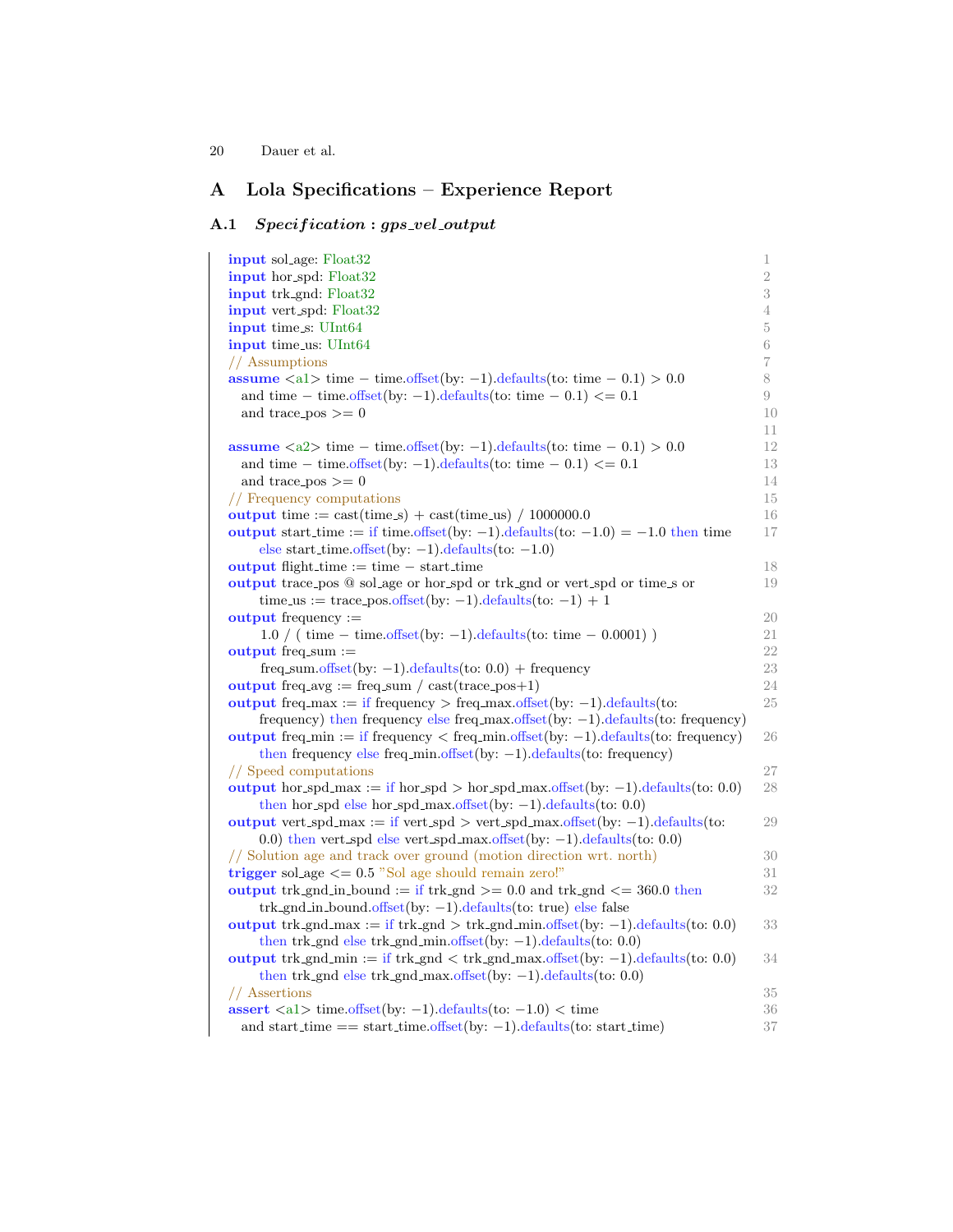# A Lola Specifications – Experience Report

## A.1 Specification : gps\_vel\_output

| <b>input</b> sol_age: Float32                                                                       | 1              |
|-----------------------------------------------------------------------------------------------------|----------------|
| <b>input</b> hor_spd: Float32                                                                       | $\overline{2}$ |
| input trk_gnd: Float32                                                                              | 3              |
| <b>input</b> vert_spd: Float32                                                                      | 4              |
| input time_s: UInt64                                                                                | 5              |
| <b>input</b> time_us: UInt64                                                                        | 6              |
| // Assumptions                                                                                      | 7              |
| <b>assume</b> $\langle a1 \rangle$ time – time.offset(by: -1).defaults(to: time – 0.1) > 0.0        | 8              |
| and time – time.offset(by: -1).defaults(to: time – 0.1) $\leq$ = 0.1                                | 9              |
| and trace_pos $\geq 0$                                                                              | 10             |
|                                                                                                     | 11             |
| assume $\langle a2 \rangle$ time - time.offset(by: -1).defaults(to: time - 0.1) > 0.0               | 12             |
| and time – time offset (by: -1) defaults (to: time – 0.1) $\leq$ = 0.1                              | 13             |
| and trace_pos $\geq 0$                                                                              | 14             |
| // Frequency computations                                                                           | 15             |
| output time := $\text{cast}(\text{time}.\text{s}) + \text{cast}(\text{time}.\text{us}) / 1000000.0$ | 16             |
| output start_time := if time.offset(by: -1).defaults(to: $-1.0$ ) = $-1.0$ then time                | 17             |
| else start_time.offset(by: $-1$ ).defaults(to: $-1.0$ )                                             |                |
| <b>output</b> flight_time $:=$ time $-$ start_time                                                  | 18             |
| output trace pos @ sol_age or hor_spd or trk_gnd or vert_spd or time_s or                           | 19             |
| time_us := trace_pos.offset(by: -1).defaults(to: -1) + 1                                            |                |
| <b>output</b> frequency $:=$                                                                        | 20             |
| $1.0 / (time - time. offset(by: -1). defaults(to: time - 0.0001))$                                  | 21             |
| output freq.sum $:=$                                                                                | 22             |
| $freq\_sum.offset(by: -1).defaults(to: 0.0) + frequency$                                            | 23             |
| output freq avg := freq sum / cast(trace_pos+1)                                                     | 24             |
| output freq max := if frequency > freq max offset(by: -1) defaults (to:                             | 25             |
| frequency) then frequency else freq.max.offset(by: $-1$ ).defaults(to: frequency)                   |                |
| output freq min := if frequency $\langle$ freq min offset(by: -1) defaults (to: frequency)          | 26             |
| then frequency else freq_min.offset(by: $-1$ ).defaults(to: frequency)                              |                |
| // Speed computations                                                                               | 27             |
| output hor_spd_max := if hor_spd > hor_spd_max.offset(by: -1).defaults(to: 0.0)                     | 28             |
| then hor_spd else hor_spd_max.offset(by: $-1$ ).defaults(to: 0.0)                                   |                |
| output vert_spd_max := if vert_spd > vert_spd_max.offset(by: $-1$ ).defaults(to:                    | 29             |
| 0.0) then vert_spd else vert_spd_max.offset(by: $-1$ ).defaults(to: 0.0)                            |                |
| // Solution age and track over ground (motion direction wrt. north)                                 | 30             |
| trigger sol_age $<=$ 0.5 "Sol age should remain zero!"                                              | 31             |
| output trk_gnd_in_bound := if trk_gnd >= $0.0$ and trk_gnd <= $360.0$ then                          | 32             |
| $trk$ -gnd_in_bound.offset(by: -1).defaults(to: true) else false                                    |                |
| output trk_gnd_max := if trk_gnd > trk_gnd_min.offset(by: -1).defaults(to: 0.0)                     | 33             |
| then trk_gnd else trk_gnd_min.offset(by: $-1$ ).defaults(to: 0.0)                                   |                |
| output trk_gnd_min := if trk_gnd < trk_gnd_max.offset(by: -1).defaults(to: 0.0)                     | 34             |
| then trk_gnd else trk_gnd_max.offset(by: $-1$ ).defaults(to: 0.0)                                   |                |
| // Assertions                                                                                       | 35             |
| assert $\langle a1 \rangle$ time offset(by: -1) defaults(to: -1.0) $\langle$ time                   | $36\,$         |
| and start_time $==$ start_time.offset(by: -1).defaults(to: start_time)                              | $37\,$         |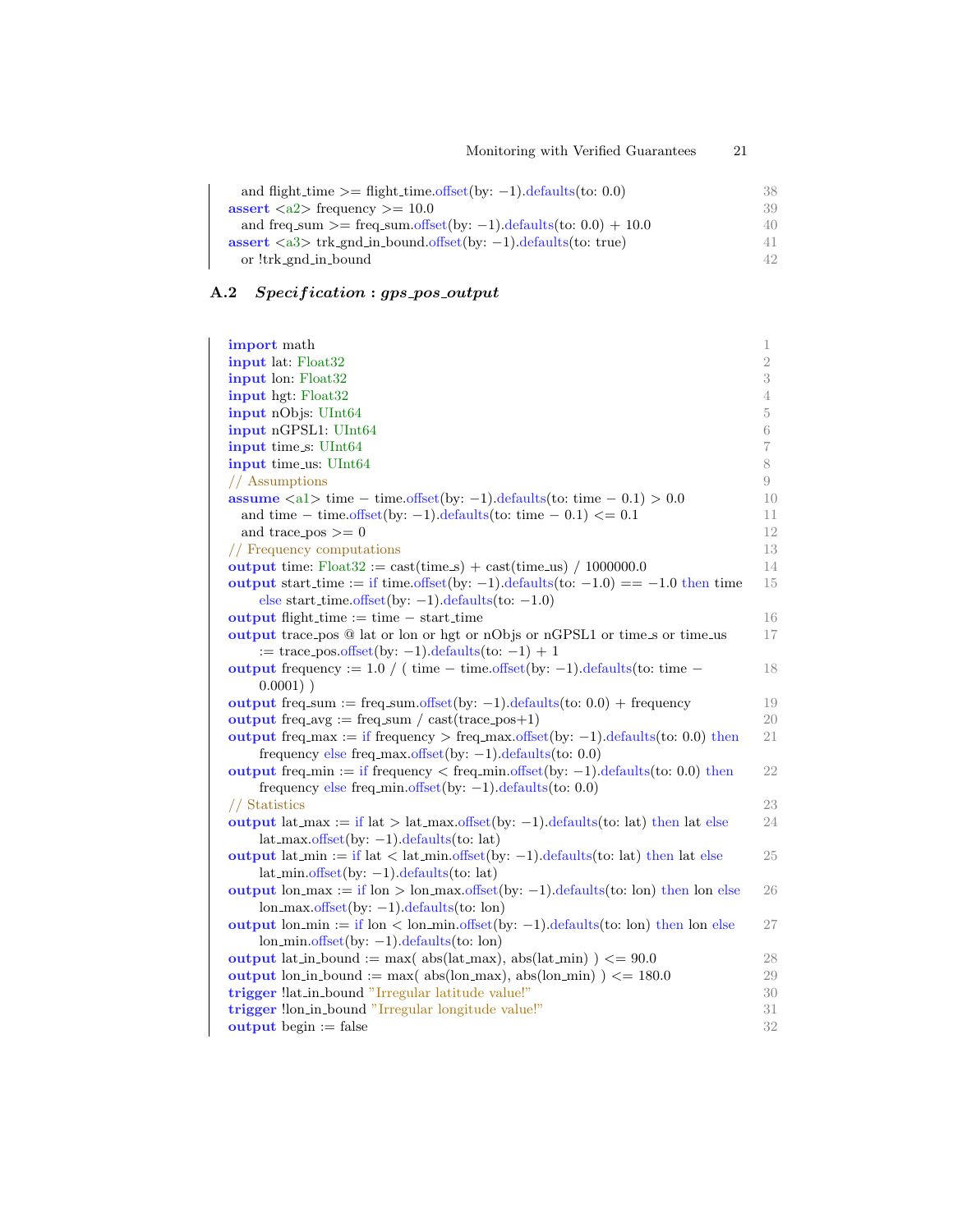| and flight_time $\ge$ = flight_time.offset(by: -1).defaults(to: 0.0)           | 38 |
|--------------------------------------------------------------------------------|----|
| assert $\langle a2 \rangle$ frequency $\rangle = 10.0$                         | 39 |
| and freq_sum >= freq_sum.offset(by: -1).defaults(to: $0.0$ ) + 10.0            | 40 |
| assert $\langle a3 \rangle$ trk_gnd_in_bound.offset(by: -1).defaults(to: true) | 41 |
| or !trk_gnd_in_bound                                                           | 42 |

# A.2 Specification : gps\_pos\_output

| import math                                                                                                                                                                        | 1              |
|------------------------------------------------------------------------------------------------------------------------------------------------------------------------------------|----------------|
| input lat: Float32                                                                                                                                                                 | $\overline{2}$ |
| input lon: Float32                                                                                                                                                                 | 3              |
| input hgt: Float32                                                                                                                                                                 | 4              |
| input nObjs: UInt64                                                                                                                                                                | 5              |
| input nGPSL1: UInt64                                                                                                                                                               | 6              |
| input time_s: UInt64                                                                                                                                                               | $\overline{7}$ |
| input time_us: UInt64                                                                                                                                                              | 8              |
| // Assumptions                                                                                                                                                                     | 9              |
| <b>assume</b> $\langle a1 \rangle$ time – time.offset(by: -1).defaults(to: time – 0.1) > 0.0                                                                                       | 10             |
| and time – time.offset(by: -1).defaults(to: time – 0.1) $\leq$ 0.1                                                                                                                 | 11             |
| and trace_pos $>=0$                                                                                                                                                                | 12             |
| // Frequency computations                                                                                                                                                          | 13             |
| output time: $Float32 := cast(time.s) + cast(time.us) / 1000000.0$                                                                                                                 | 14             |
| output start time := if time.offset(by: -1).defaults(to: $-1.0$ ) == $-1.0$ then time                                                                                              | 15             |
| else start_time.offset(by: $-1$ ).defaults(to: $-1.0$ )                                                                                                                            |                |
| <b>output</b> flight_time $:=$ time $-$ start_time                                                                                                                                 | 16             |
| output trace pos @ lat or lon or hgt or nObjs or nGPSL1 or time s or time us                                                                                                       | 17             |
| $:=$ trace_pos.offset(by: -1).defaults(to: -1) + 1                                                                                                                                 |                |
| output frequency := $1.0 / (time - time. offset(by: -1).defaults(to: time -$                                                                                                       | 18             |
| $0.0001)$ )                                                                                                                                                                        |                |
| output freq.sum := freq.sum.offset(by: $-1$ ).defaults(to: 0.0) + frequency                                                                                                        | 19             |
| output freq.avg := freq.sum / cast(trace_pos+1)                                                                                                                                    | 20             |
| output freq.max := if frequency > freq.max.offset(by: -1).defaults(to: 0.0) then                                                                                                   | 21             |
| frequency else freq max offset (by: $-1$ ) defaults (to: 0.0)                                                                                                                      |                |
| output freq $\min :=$ if frequency $\lt$ freq $\min$ offset (by: -1). defaults (to: 0.0) then                                                                                      | 22             |
| frequency else freq.min.offset(by: $-1$ ).defaults(to: 0.0)                                                                                                                        |                |
| // Statistics                                                                                                                                                                      | 23             |
| output lat_max := if lat > lat_max offset(by: -1).defaults(to: lat) then lat else                                                                                                  | 24             |
| $lat_max.offset(by: -1).defaults(to: lat)$                                                                                                                                         |                |
| output lat-min := if lat < lat-min offset(by: $-1$ ) defaults(to: lat) then lat else                                                                                               | 25             |
| $lat.min.offset(by: -1).defaults(to: lat)$                                                                                                                                         |                |
| output $\text{lon} \text{ max} := \text{if } \text{lon} > \text{lon} \text{ max} \cdot \text{offset}(by: -1) \cdot \text{defaults}(to: \text{lon})$ then $\text{lon} \text{ else}$ | 26             |
| $\text{lon\_max.offset}(by: -1).\text{defaults}(to: \text{lon})$                                                                                                                   |                |
| output $\text{lon\_min} := \text{if } \text{lon} < \text{lon\_min}.\text{offset}(by: -1).\text{defaults}(to: \text{lon})$ then $\text{lon\_else}$                                  | 27             |
| $\text{lon\_min.offset}(by: -1) \cdot \text{defaults}(to: \text{lon})$                                                                                                             |                |
| output lat in bound := max( $abs(lat_max)$ , $abs(lat.min)$ ) <= 90.0                                                                                                              | 28             |
| output lon_in_bound := max( abs(lon_max), abs(lon_min) $\ge$ = 180.0                                                                                                               | 29             |
| trigger !lat_in_bound "Irregular latitude value!"                                                                                                                                  | 30             |
| trigger !lon_in_bound "Irregular longitude value!"                                                                                                                                 | 31             |
| <b>output</b> begin $:=$ false                                                                                                                                                     | 32             |
|                                                                                                                                                                                    |                |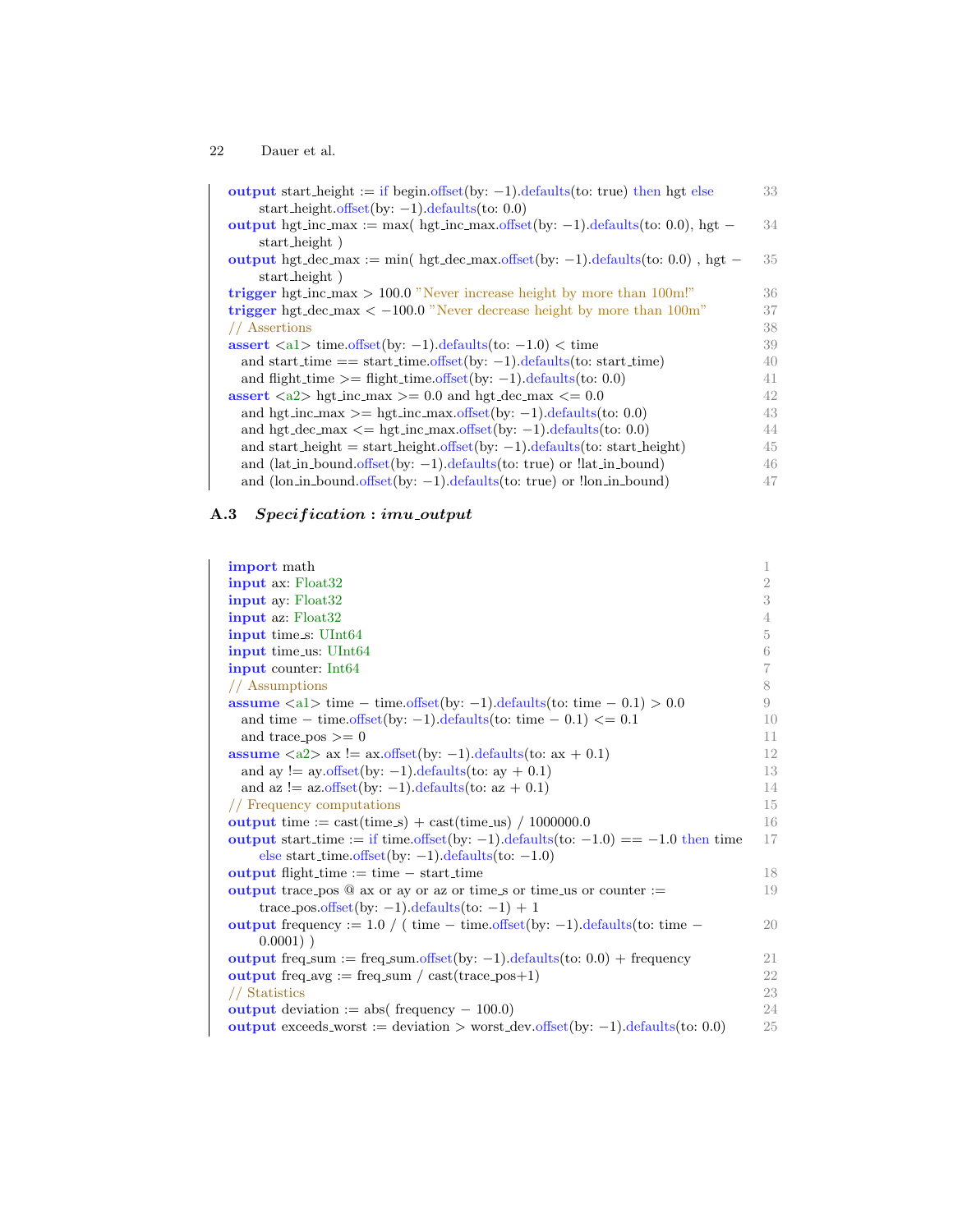| output start_height := if begin.offset(by: $-1$ ).defaults(to: true) then hgt else      | 33 |
|-----------------------------------------------------------------------------------------|----|
| start_height.offset(by: $-1$ ).defaults(to: 0.0)                                        |    |
| output hgt_inc_max := max( hgt_inc_max.offset(by: -1).defaults(to: 0.0), hgt -          | 34 |
| start_height)                                                                           |    |
| output hgt_dec_max := min( hgt_dec_max.offset(by: -1).defaults(to: 0.0), hgt -          | 35 |
| start_height)                                                                           |    |
| trigger hgt_inc_max > 100.0 "Never increase height by more than $100cm$ !"              | 36 |
| trigger hgt_dec_max $\lt$ -100.0 "Never decrease height by more than 100m"              | 37 |
| // Assertions                                                                           | 38 |
| assert $\langle a1 \rangle$ time offset(by: -1) defaults(to: -1.0) $\langle$ time       | 39 |
| and start_time $==$ start_time.offset(by: -1).defaults(to: start_time)                  | 40 |
| and flight time $\equiv$ flight time offset (by: -1) defaults (to: 0.0)                 | 41 |
| assert $\langle a2 \rangle$ hgt_inc_max $\rangle = 0.0$ and hgt_dec_max $\langle = 0.0$ | 42 |
| and hgt_inc_max >= hgt_inc_max.offset(by: -1).defaults(to: 0.0)                         | 43 |
| and hgt_dec_max $\leq$ hgt_inc_max.offset(by: -1).defaults(to: 0.0)                     | 44 |
| and start_height = start_height.offset(by: $-1$ ).defaults(to: start_height)            | 45 |
| and $(lat_in-bound.offset(by:-1).defaults(to: true)$ or $llat_in-bound)$                | 46 |
| and (lon_in_bound.offset(by: $-1$ ).defaults(to: true) or !lon_in_bound)                | 47 |

## A.3 Specification : imu\_output

| <b>import</b> math                                                                                  | 1              |
|-----------------------------------------------------------------------------------------------------|----------------|
| <b>input</b> ax: Float32                                                                            | $\overline{2}$ |
| input ay: Float32                                                                                   | 3              |
| <b>input</b> az: Float32                                                                            | 4              |
| input time_s: UInt64                                                                                | $\overline{5}$ |
| <b>input</b> time_us: UInt64                                                                        | 6              |
| <b>input</b> counter: Int64                                                                         | 7              |
| // Assumptions                                                                                      | 8              |
| assume $\langle a1 \rangle$ time - time.offset(by: -1).defaults(to: time - 0.1) > 0.0               | 9              |
| and time – time.offset(by: -1).defaults(to: time – 0.1) $\leq$ = 0.1                                | 10             |
| and trace_pos $\geq 0$                                                                              | 11             |
| assume $\langle a2 \rangle$ ax $!=$ ax offset(by: -1) defaults(to: ax + 0.1)                        | 12             |
| and ay $!=$ ay.offset(by: -1).defaults(to: ay + 0.1)                                                | 13             |
| and az $!=$ az.offset(by: -1).defaults(to: az + 0.1)                                                | 14             |
| // Frequency computations                                                                           | 15             |
| output time := $\text{cast}(\text{time}.\text{s}) + \text{cast}(\text{time}.\text{us}) / 1000000.0$ | 16             |
| output start_time := if time.offset(by: -1).defaults(to: $-1.0$ ) == $-1.0$ then time               | 17             |
| else start_time.offset(by: $-1$ ).defaults(to: $-1.0$ )                                             |                |
| <b>output</b> flight-time $:=$ time $-$ start-time                                                  | 18             |
| output trace pos $@$ ax or ay or az or time s or time us or counter :=                              | 19             |
| trace_pos.offset(by: $-1$ ).defaults(to: $-1$ ) + 1                                                 |                |
| output frequency := $1.0 / (time - time. offset(by: -1).defaults(to: time -$                        | 20             |
| $0.0001)$ )                                                                                         |                |
| output freq.sum := freq.sum.offset(by: $-1$ ).defaults(to: 0.0) + frequency                         | 21             |
| output freq.avg := freq.sum / $\text{cast}(\text{trace}_\text{pos}+1)$                              | 22             |
| // Statistics                                                                                       | 23             |
| <b>output</b> deviation := abs( frequency $-100.0$ )                                                | 24             |
| output exceeds_worst := deviation > worst_dev.offset(by: -1).defaults(to: 0.0)                      | 25             |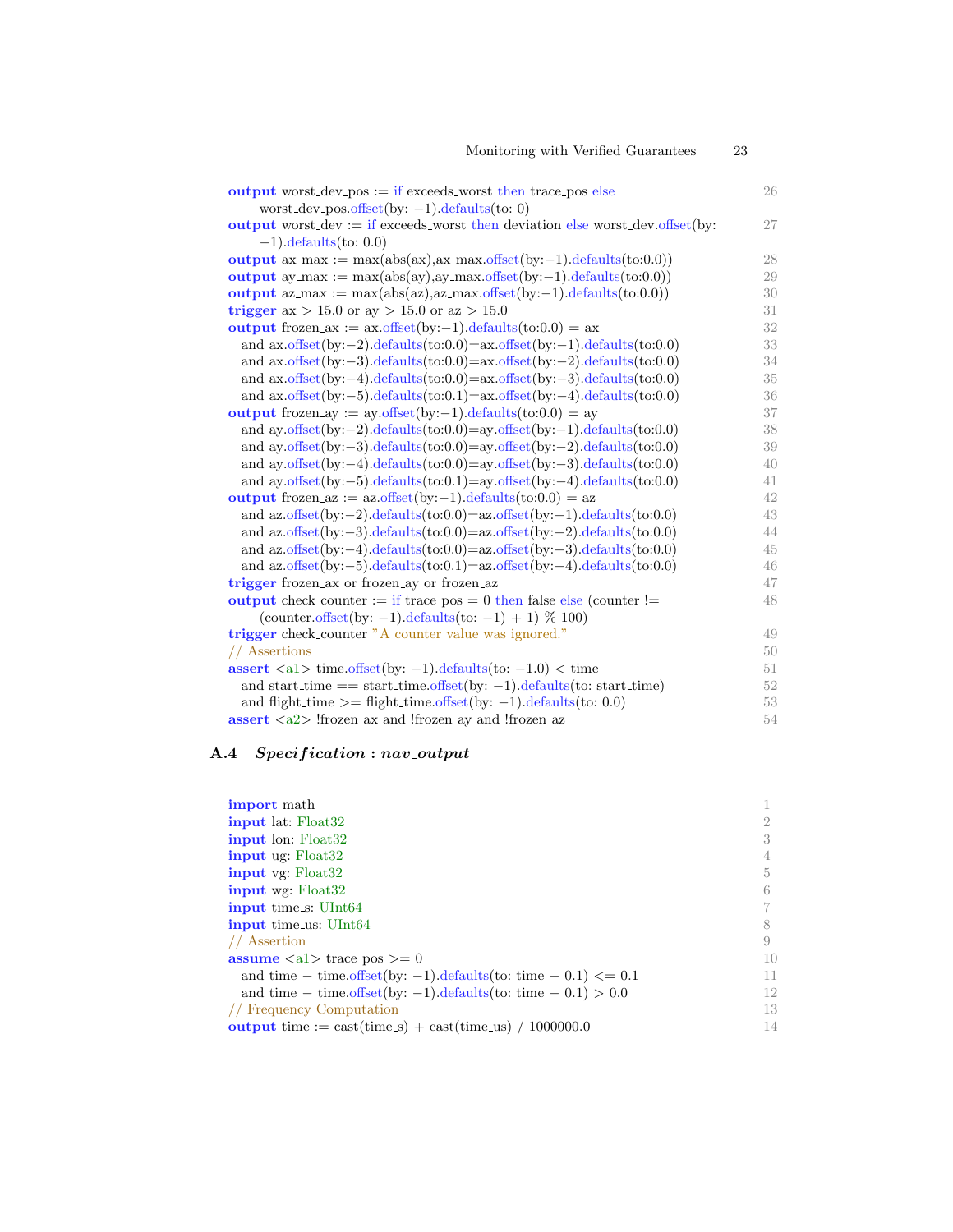| <b>output</b> worst_dev_pos $:=$ if exceeds_worst then trace_pos else                         | 26     |
|-----------------------------------------------------------------------------------------------|--------|
| worst_dev_pos.offset(by: $-1$ ).defaults(to: 0)                                               |        |
| output worst_dev := if exceeds_worst then deviation else worst_dev.offset(by:                 | 27     |
| $-1$ ).defaults(to: 0.0)                                                                      |        |
| output $ax\text{ }max := max(abs(ax), ax\text{ }max.offset(by:-1).defaults(to:0.0))$          | 28     |
| output ay_max := $max(abs(ay), ay\_max.offset(by:-1).defaults(to:0.0))$                       | 29     |
| output $az.max := max(abs(az), az.max.offset(by:-1).defaults(to:0.0))$                        | 30     |
| trigger ax > 15.0 or ay > 15.0 or az > 15.0                                                   | 31     |
| output frozen_ax := $ax \cdot offset(by:-1) \cdot defaults(to:0.0) = ax$                      | $32\,$ |
| and $ax. offset(by:-2).defaults(to:0.0)=ax.offset(by:-1).defaults(to:0.0)$                    | 33     |
| and $ax. offset(by:-3).defaults(to:0.0)=ax.offset(by:-2).defaults(to:0.0)$                    | 34     |
| and $ax. offset(by:-4). defaults(to:0.0)=ax.offset(by:-3). defaults(to:0.0)$                  | 35     |
| and $ax. offset(by: -5). defaults(to: 0.1) = ax. offset(by: -4). defaults(to: 0.0)$           | 36     |
| output frozen_ay := $ay \cdot offset(by:-1) \cdot defaults(to:0.0) = ay$                      | 37     |
| and ay.offset(by: $-2$ ).defaults(to:0.0)=ay.offset(by: $-1$ ).defaults(to:0.0)               | 38     |
| and ay.offset(by: $-3$ ).defaults(to:0.0)=ay.offset(by: $-2$ ).defaults(to:0.0)               | 39     |
| and ay.offset(by: $-4$ ).defaults(to:0.0)=ay.offset(by: $-3$ ).defaults(to:0.0)               | 40     |
| and ay offset (by: $-5$ ) defaults (to: $0.1$ ) = ay offset (by: $-4$ ) defaults (to: $0.0$ ) | 41     |
| output frozen_az := $az \cdot offset(by:-1) \cdot defaults(to:0.0) = az$                      | 42     |
| and $az.offset(by:-2).defaults(to:0.0)=az.offset(by:-1).defaults(to:0.0)$                     | 43     |
| and $az. offset(by:-3).defaults(to:0.0)=az.offset(by:-2).defaults(to:0.0)$                    | 44     |
| and $az. offset(by:-4).defaults(to:0.0)=az.offset(by:-3).defaults(to:0.0)$                    | 45     |
| and $az. offset(by:-5). defaults(to:0.1)=az.offset(by:-4). defaults(to:0.0)$                  | 46     |
| trigger frozen_ax or frozen_ay or frozen_az                                                   | 47     |
| output check_counter := if trace_pos = 0 then false else (counter !=                          | 48     |
| (counter.offset(by: $-1$ ).defaults(to: $-1$ ) + 1) % 100)                                    |        |
| trigger check_counter "A counter value was ignored."                                          | 49     |
| // Assertions                                                                                 | 50     |
| assert $\langle a1 \rangle$ time offset(by: -1) defaults(to: -1.0) $\langle$ time             | 51     |
| and start_time == start_time.offset(by: $-1$ ).defaults(to: start_time)                       | $52\,$ |
| and flight_time $\equiv$ flight_time offset(by: -1).defaults(to: 0.0)                         | 53     |
| $\text{assert} \langle 2 \rangle$ !frozen_ax and !frozen_ay and !frozen_az                    | 54     |

Monitoring with Verified Guarantees 23

## A.4 Specification : nav\_output

| <b>import</b> math                                                                                  |    |
|-----------------------------------------------------------------------------------------------------|----|
| <b>input</b> lat: Float32                                                                           |    |
| <b>input</b> lon: Float32                                                                           | 3  |
| <b>input</b> ug: Float32                                                                            |    |
| <b>input</b> vg: Float32                                                                            | 5  |
| <b>input</b> wg: Float32                                                                            | 6  |
| <b>input</b> time_s: UInt64                                                                         |    |
| <b>input</b> time_us: UInt64                                                                        |    |
| // Assertion                                                                                        | 9  |
| <b>assume</b> $\langle a1 \rangle$ trace pos $\rangle = 0$                                          | 10 |
| and time – time.offset(by: -1).defaults(to: time – 0.1) $\leq$ = 0.1                                | 11 |
| and time – time.offset(by: -1).defaults(to: time – $0.1$ ) > 0.0                                    | 12 |
| // Frequency Computation                                                                            | 13 |
| output time := $\text{cast}(\text{time}.\text{s}) + \text{cast}(\text{time}.\text{us}) / 1000000.0$ | 14 |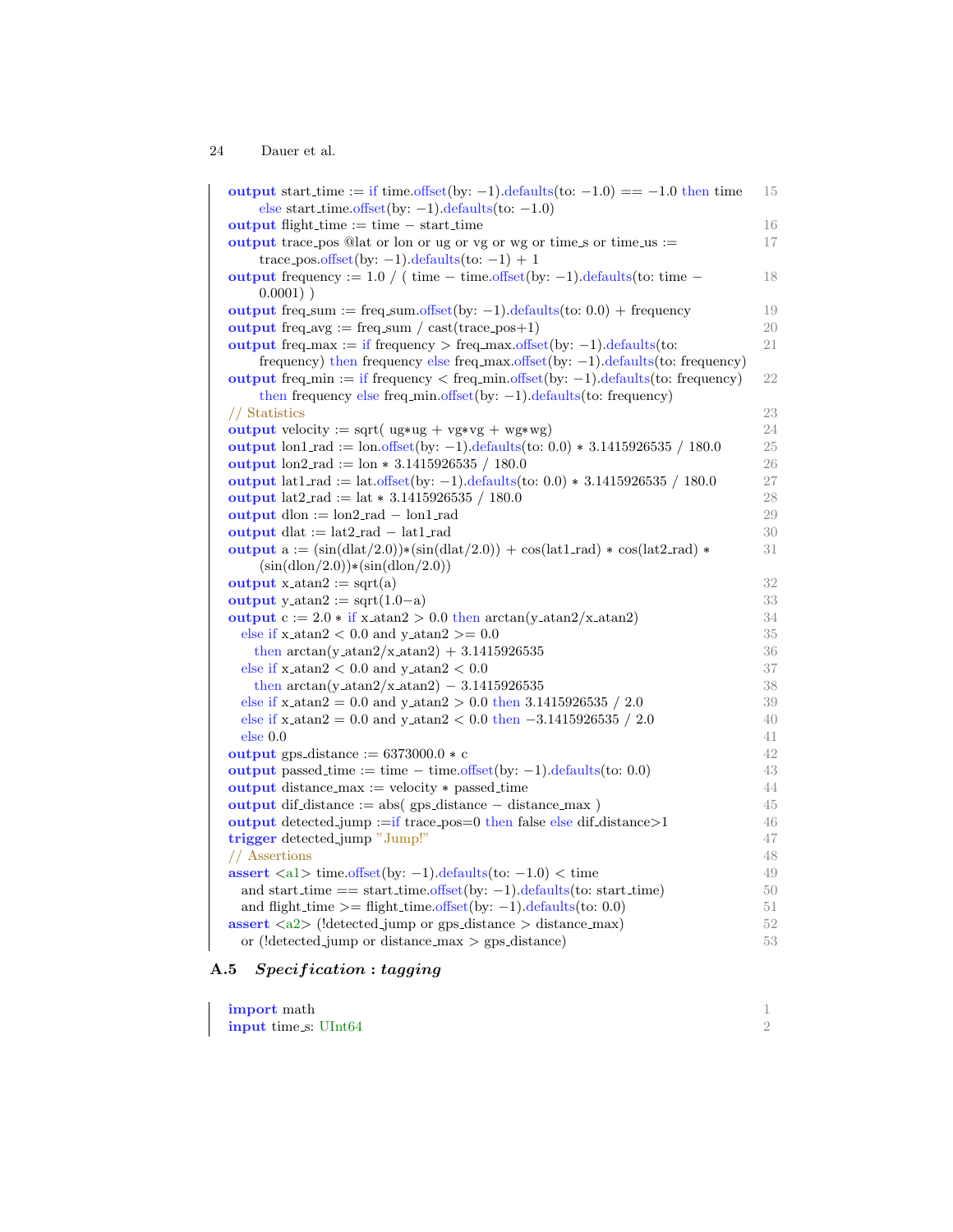output start time := if time.offset(by: -1).defaults(to: -1.0) == -1.0 then time 15 else start time.offset(by: −1).defaults(to: −1.0) output flight time := time − start time 16 output trace pos  $@$ lat or lon or ug or vg or wg or time s or time us := 17 trace pos.offset(by:  $-1$ ).defaults(to:  $-1$ ) + 1 output frequency :=  $1.0 / (time - time. offset(by: -1).defaults(to: time - 18)$  $0.0001)$ ) output freq\_sum := freq\_sum.offset(by:  $-1$ ).defaults(to: 0.0) + frequency 19 output freq  $\text{avg} := \text{freq\_sum} / \text{cast}(\text{trace}_p \cdot \text{cos} + 1)$  20 output freq max := if frequency > freq max.offset(by:  $-1$ ).defaults(to: 21 frequency) then frequency else freq max.offset(by: −1).defaults(to: frequency) output freq min := if frequency < freq min.offset(by: −1).defaults(to: frequency) 22 then frequency else freq min.offset(by: −1).defaults(to: frequency) // Statistics 23 output velocity := sqrt(  $ug*ug + vgx*vg + wg*wg)$  24 output lon1 rad := lon.offset(by: -1).defaults(to: 0.0) \* 3.1415926535 / 180.0 25 output  $\text{lon2 rad} := \text{lon} * 3.1415926535 / 180.0$  26 output lat1.rad := lat.offset(by: -1).defaults(to: 0.0) \* 3.1415926535 / 180.0 27 output lat2\_rad := lat  $*$  3.1415926535 / 180.0 28 output dlon := lon2 rad − lon1 rad 29 output dlat := lat2 rad − lat1 rad 30 output  $a := (\sin(\text{dlat}/2.0)) * (\sin(\text{dlat}/2.0)) + \cos(\text{lat1 rad}) * \cos(\text{lat2 rad}) * 31$  $(\sin(\mathrm{dlon}/2.0))*(\sin(\mathrm{dlon}/2.0))$ output x at a  $2 := \sqrt{\text{sqrt}(a)}$  32 output y\_atan2 := sqrt $(1.0-a)$  33 output  $c := 2.0 * if x_0 = 0.0$  then  $arctan(y_0) = 34$ else if  $x_0$  atan2  $\lt$  0.0 and  $y_0$  at an2  $\gt$  = 0.0 35 then  $\arctan(y \cdot \arctan(2/x \cdot \arctan(2)) + 3.1415926535$  36 else if  $x$ -atan $2 < 0.0$  and  $y$ -atan $2 < 0.0$  37 then  $\arctan(y \cdot \arctan(2/x \cdot \arctan(2)) - 3.1415926535$  38 else if  $x_0$  atan2 = 0.0 and  $y_0$  atan2 > 0.0 then 3.1415926535 / 2.0 39 else if  $x_0$  atan2 = 0.0 and  $y_0$  atan2 < 0.0 then  $-3.1415926535 / 2.0$  40 else  $0.0$  and  $41$ output gps distance  $:= 6373000.0 * c$  42 output passed time := time  $-$  time.offset(by:  $-1$ ).defaults(to: 0.0) 43 output distance max := velocity \* passed time 44 output dif distance := abs( gps distance − distance max ) 45 output detected jump :=if trace pos=0 then false else dif distance>1 46 trigger detected jump "Jump!" 47 // Assertions 48 assert <a1> time.offset(by: −1).defaults(to: −1.0) < time 49 and start\_time  $=$  start\_time.offset(by:  $-1$ ).defaults(to: start\_time) 50 and flight time  $\geq$  flight time.offset(by: -1).defaults(to: 0.0) 51 assert  $\langle a2 \rangle$  (!detected jump or gps distance  $>$  distance max) 52 or (!detected\_jump or distance\_max > gps\_distance) 53

### A.5 Specification : tagging

| import math                 |  |
|-----------------------------|--|
| <b>input</b> time s: UInt64 |  |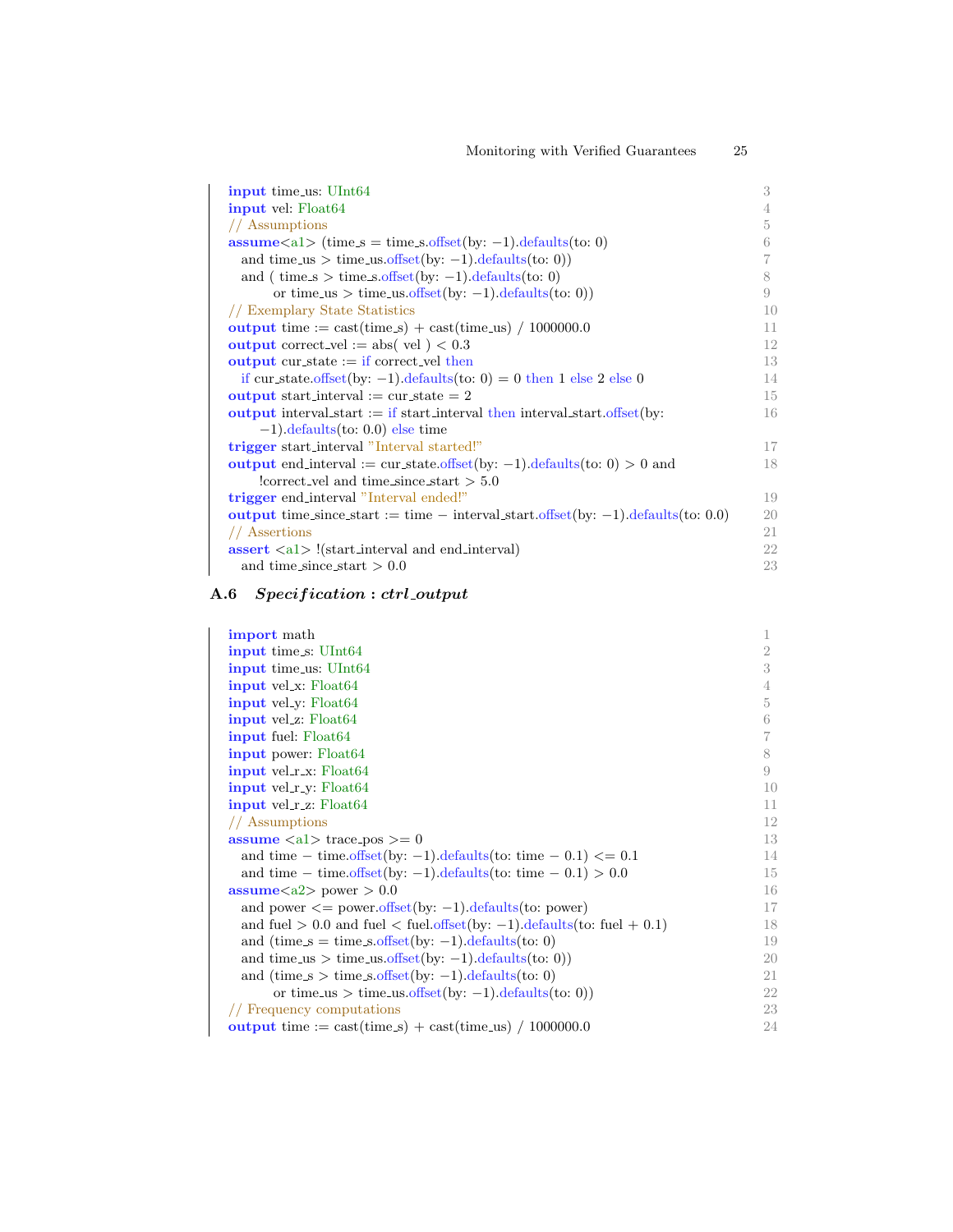| <b>input</b> time_us: UInt64                                                                        | 3  |
|-----------------------------------------------------------------------------------------------------|----|
| <b>input</b> vel: Float64                                                                           | 4  |
| // Assumptions                                                                                      | 5  |
| $assume < a1$ (time $s = time_s. offset(by: -1). defaults(to: 0)$                                   | 6  |
| and time_us > time_us.offset(by: $-1$ ).defaults(to: 0))                                            |    |
| and ( $time_s > time_s$ .offset(by: -1).defaults(to: 0)                                             | 8  |
| or time_us > time_us.offset(by: -1).defaults(to: 0))                                                | 9  |
| // Exemplary State Statistics                                                                       | 10 |
| output time := $\text{cast}(\text{time}.\text{s}) + \text{cast}(\text{time}.\text{us}) / 1000000.0$ | 11 |
| <b>output</b> correct_vel := abs( vel ) < $0.3$                                                     | 12 |
| <b>output</b> cur_state $:=$ if correct_vel then                                                    | 13 |
| if cur_state.offset(by: -1).defaults(to: 0) = 0 then 1 else 2 else 0                                | 14 |
| <b>output</b> start_interval := cur_state = 2                                                       | 15 |
| output interval start $:=$ if start interval then interval start offset (by:                        | 16 |
| $(-1)$ . defaults (to: 0.0) else time                                                               |    |
| trigger start_interval "Interval started!"                                                          | 17 |
| <b>output</b> end_interval := cur_state.offset(by: -1).defaults(to: 0) > 0 and                      | 18 |
| !correct_vel and time_since_start $> 5.0$                                                           |    |
| trigger end_interval "Interval ended!"                                                              | 19 |
| output time_since_start := time $-$ interval_start.offset(by: $-1$ ).defaults(to: 0.0)              | 20 |
| // Assertions                                                                                       | 21 |
| $\textbf{assert} \leq a1$ > !(start_interval and end_interval)                                      | 22 |
| and time_since_start $> 0.0$                                                                        | 23 |

# A.6 Specification : ctrl\_output

| <b>import</b> math                                                                                  |                |
|-----------------------------------------------------------------------------------------------------|----------------|
| <b>input</b> time s: UInt64                                                                         | $\overline{2}$ |
| <b>input</b> time us: UInt64                                                                        | 3              |
| <b>input</b> vel_x: Float64                                                                         | 4              |
| <b>input</b> vel <sub>y</sub> : Float64                                                             | 5              |
| <b>input</b> vel_z: Float64                                                                         | 6              |
| <b>input</b> fuel: Float64                                                                          | 7              |
| <b>input</b> power: Float64                                                                         | 8              |
| <b>input</b> vel_r_x: Float64                                                                       | 9              |
| <b>input</b> vel_r_y: Float64                                                                       | 10             |
| input vel_r_z: Float64                                                                              | 11             |
| // Assumptions                                                                                      | 12             |
| <b>assume</b> $\langle a1 \rangle$ trace_pos $\rangle = 0$                                          | 13             |
| and time – time.offset(by: -1).defaults(to: time – 0.1) $\leq$ 0.1                                  | 14             |
| and time – time.offset(by: -1).defaults(to: time – 0.1) > 0.0                                       | 15             |
| $\textbf{assume}\textlt 22$ power > 0.0                                                             | 16             |
| and power $\leq$ power.offset(by: -1).defaults(to: power)                                           | 17             |
| and fuel $> 0.0$ and fuel $<$ fuel.offset(by: -1).defaults(to: fuel + 0.1)                          | 18             |
| and (time $s = \text{time}\_s.\text{offset}(by: -1).\text{defaults}(to: 0)$ )                       | 19             |
| and time_us > time_us.offset(by: -1).defaults(to: 0))                                               | 20             |
| and (time $s >$ time s offset(by: -1). defaults (to: 0)                                             | 21             |
| or time_us > time_us.offset(by: $-1$ ).defaults(to: 0))                                             | 22             |
| // Frequency computations                                                                           | 23             |
| output time := $\text{cast}(\text{time}.\text{s}) + \text{cast}(\text{time}.\text{us}) / 1000000.0$ | 24             |
|                                                                                                     |                |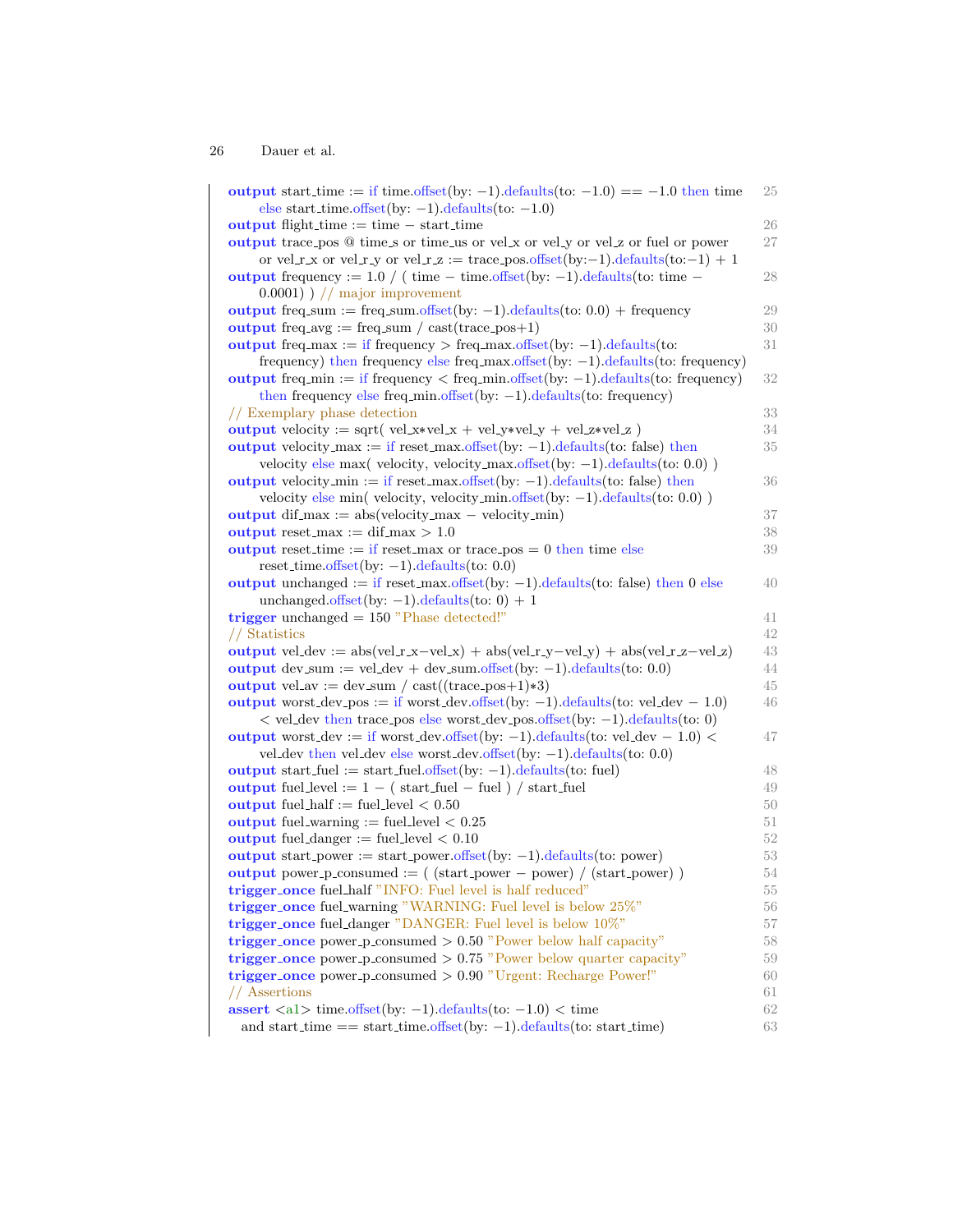| output start_time := if time.offset(by: -1).defaults(to: $-1.0$ ) == $-1.0$ then time<br>else start_time.offset(by: $-1$ ).defaults(to: $-1.0$ )             | 25       |
|--------------------------------------------------------------------------------------------------------------------------------------------------------------|----------|
| <b>output</b> flight_time $:=$ time $-$ start_time                                                                                                           | 26       |
| output trace pos @ time_s or time_us or vel_x or vel_y or vel_z or fuel or power                                                                             | 27       |
|                                                                                                                                                              |          |
| or vel_r_x or vel_r_y or vel_r_z := trace_pos.offset(by:-1).defaults(to:-1) + 1                                                                              |          |
| output frequency := $1.0 / (time - time. offset(by: -1).defaults(to: time -$                                                                                 | 28       |
| $(0.0001)$ ) // major improvement                                                                                                                            |          |
| output freq.sum := freq.sum.offset(by: $-1$ ).defaults(to: 0.0) + frequency                                                                                  | 29       |
| output freq.avg := freq.sum / cast(trace_pos+1)                                                                                                              | 30       |
| output freq max := if frequency > freq max offset(by: $-1$ ).defaults(to:                                                                                    | 31       |
| frequency) then frequency else freq_max.offset(by: $-1$ ).defaults(to: frequency)                                                                            |          |
| output freq.min := if frequency $\langle$ freq.min.offset(by: -1).defaults(to: frequency)                                                                    | 32       |
| then frequency else freq.min.offset(by: $-1$ ).defaults(to: frequency)                                                                                       |          |
| // Exemplary phase detection                                                                                                                                 | 33       |
| output velocity := sqrt( vel_x*vel_x + vel_y*vel_y + vel_z*vel_z )                                                                                           | 34       |
| output velocity_max := if reset_max offset(by: $-1$ ) defaults(to: false) then                                                                               | 35       |
| velocity else max( velocity, velocity_max.offset(by: $-1$ ).defaults(to: 0.0))                                                                               |          |
| output velocity_min := if reset_max.offset(by: $-1$ ).defaults(to: false) then                                                                               | 36       |
| velocity else min( velocity, velocity_min.offset(by: $-1$ ).defaults(to: 0.0))                                                                               |          |
| <b>output</b> dif_max := $abs(velocity\_max - velocity\_min)$                                                                                                | 37       |
| output reset_max := $diff_max > 1.0$                                                                                                                         | 38       |
| output reset_time := if reset_max or trace_pos = $0$ then time else                                                                                          | 39       |
| reset_time.offset(by: $-1$ ).defaults(to: 0.0)                                                                                                               |          |
| output unchanged := if reset_max.offset(by: $-1$ ).defaults(to: false) then 0 else                                                                           | 40       |
| unchanged.offset(by: $-1$ ).defaults(to: 0) + 1                                                                                                              |          |
| trigger unchanged $= 150$ "Phase detected!"                                                                                                                  | 41       |
| // Statistics                                                                                                                                                | 42       |
| output vel-dev := $abs(vel.r.x-vel.x) + abs(vel.r.y-vel.y) + abs(vel.r.z-vel.z)$                                                                             | 43       |
| output dev_sum := vel_dev + dev_sum.offset(by: $-1$ ).defaults(to: 0.0)                                                                                      | 44       |
| <b>output</b> vel_av := $dev\_sum / cast((trace\_pos+1)*3)$                                                                                                  | 45       |
| output worst_dev_pos := if worst_dev.offset(by: -1).defaults(to: vel_dev - 1.0)                                                                              | 46       |
| $\langle$ vel_dev then trace_pos else worst_dev_pos.offset(by: -1).defaults(to: 0)                                                                           |          |
| output worst_dev := if worst_dev.offset(by: -1).defaults(to: vel_dev - 1.0) <                                                                                | 47       |
| vel_dev then vel_dev else worst_dev.offset(by: $-1$ ).defaults(to: 0.0)                                                                                      |          |
| output start_fuel := start_fuel.offset(by: $-1$ ).defaults(to: fuel)                                                                                         | 48       |
|                                                                                                                                                              |          |
|                                                                                                                                                              | 49       |
| output fuel_level := $1 - (start_fuel - fuel) / start_fuel$                                                                                                  |          |
| output fuel_half := fuel_level $< 0.50$                                                                                                                      | 50       |
| <b>output</b> fuel_warning := fuel_level $< 0.25$                                                                                                            | 51       |
| output fuel_danger := fuel_level $< 0.10$                                                                                                                    | 52       |
| output start_power := start_power.offset(by: $-1$ ).defaults(to: power)                                                                                      | 53       |
| <b>output</b> power_p_consumed := $($ (start_power - power) / (start_power) )                                                                                | 54       |
| trigger_once fuel_half "INFO: Fuel level is half reduced"                                                                                                    | 55       |
| trigger_once fuel_warning "WARNING: Fuel level is below 25%"                                                                                                 | 56       |
| trigger_once fuel_danger "DANGER: Fuel level is below 10%"                                                                                                   | 57       |
| trigger once power p consumed $> 0.50$ "Power below half capacity"                                                                                           | 58       |
| trigger once power p consumed $> 0.75$ "Power below quarter capacity"                                                                                        | 59       |
| $trigger\_{once}$ power_p_consumed $> 0.90$ "Urgent: Recharge Power!"                                                                                        | 60       |
| // Assertions                                                                                                                                                | 61       |
| assert $\langle a1 \rangle$ time.offset(by: -1).defaults(to: -1.0) $\langle$ time<br>and start_time == start_time.offset(by: $-1$ ).defaults(to: start_time) | 62<br>63 |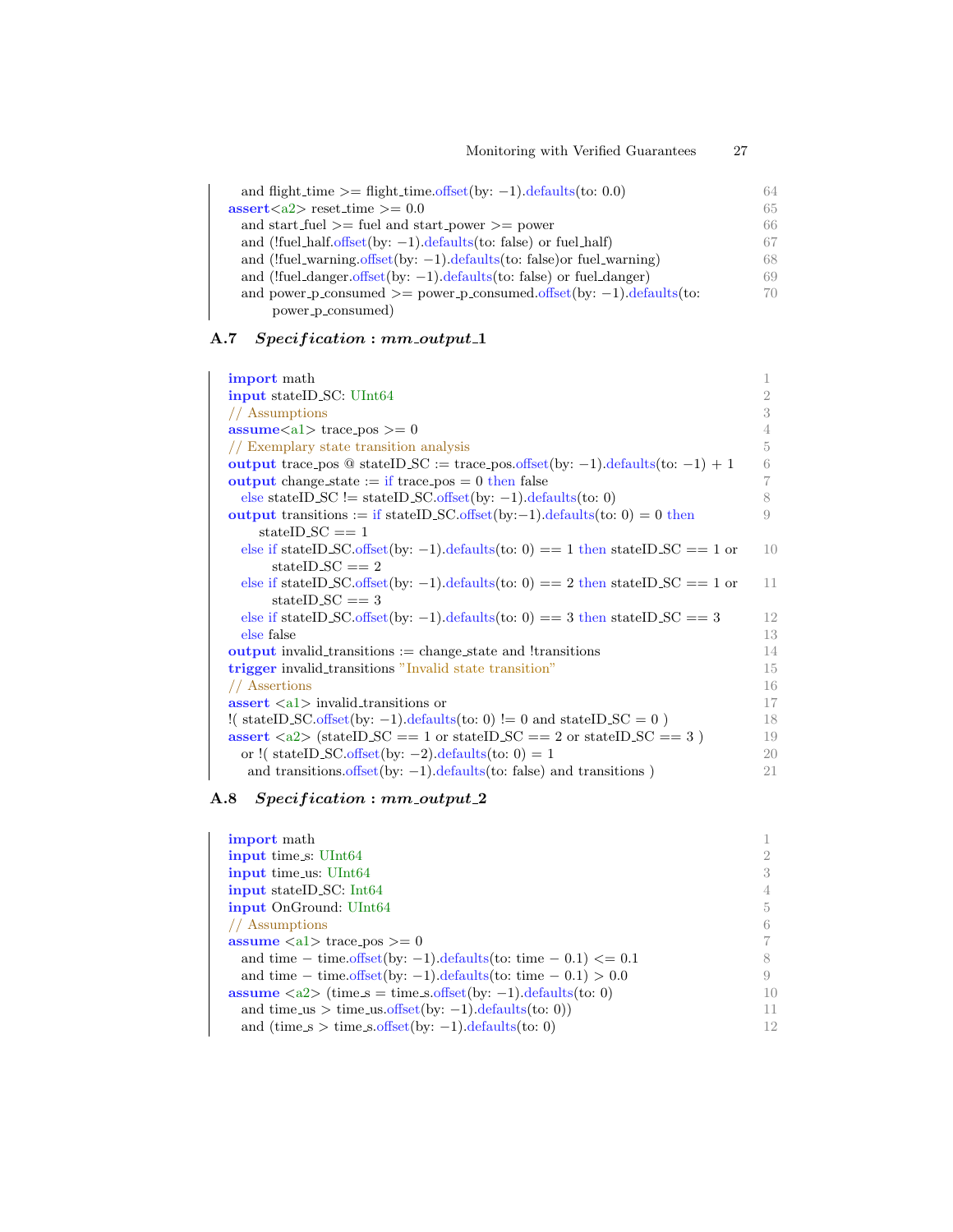| and flight_time $\equiv$ flight_time offset(by: -1).defaults(to: 0.0)      | 64 |
|----------------------------------------------------------------------------|----|
| $\text{assert}\langle a2 \rangle$ reset_time $\geq 0.0$                    | 65 |
| and start_fuel $\geq$ fuel and start_power $\geq$ power                    | 66 |
| and (!fuel_half.offset(by: $-1$ ).defaults(to: false) or fuel_half)        | 67 |
| and (!fuel_warning.offset(by: $-1$ ).defaults(to: false) or fuel_warning)  | 68 |
| and (!fuel_danger.offset(by: $-1$ ).defaults(to: false) or fuel_danger)    | 69 |
| and power-p-consumed $\geq$ power-p-consumed offset (by: -1) defaults (to: | 70 |
| power_p_consumed)                                                          |    |

## A.7 Specification : mm\_output\_1

| <b>import</b> math                                                                   | 1  |
|--------------------------------------------------------------------------------------|----|
| input stateID_SC: UInt64                                                             | 2  |
| // Assumptions                                                                       | 3  |
| $\text{assume}\langle a1 \rangle$ trace_pos $\geq 0$                                 | 4  |
| // Exemplary state transition analysis                                               | 5  |
| output trace pos @ stateID_SC := trace pos offset(by: -1) defaults(to: -1) + 1       | 6  |
| <b>output</b> change state $:=$ if trace pos $= 0$ then false                        | 7  |
| else stateID_SC != stateID_SC offset(by: $-1$ ) defaults(to: 0)                      | 8  |
| output transitions := if stateID_SC.offset(by:-1).defaults(to: 0) = 0 then           | 9  |
| $stateID$ <sub>-SC</sub> $== 1$                                                      |    |
| else if stateID_SC_offset(by: -1).defaults(to: 0) = = 1 then stateID_SC = = 1 or     | 10 |
| stateID_SC $== 2$                                                                    |    |
| else if stateID_SC_offset(by: -1)_defaults(to: 0) = = 2 then stateID_SC = = 1 or     | 11 |
| stateID_SC $== 3$                                                                    |    |
| else if stateID_SC.offset(by: -1).defaults(to: 0) = = 3 then stateID_SC = = 3        | 12 |
| else false                                                                           | 13 |
| <b>output</b> invalid_transitions $:=$ change_state and !transitions                 | 14 |
| <b>trigger</b> invalid_transitions "Invalid state transition"                        | 15 |
| // Assertions                                                                        | 16 |
| $\textbf{assert} \leq 1$ invalid_transitions or                                      | 17 |
| !( stateID_SC.offset(by: -1).defaults(to: 0) != 0 and stateID_SC = 0)                | 18 |
| assert $\langle a2 \rangle$ (stateID_SC == 1 or stateID_SC == 2 or stateID_SC == 3 ) | 19 |
| or !( stateID_SC.offset(by: $-2$ ).defaults(to: 0) = 1                               | 20 |
| and transitions offset (by: $-1$ ) defaults (to: false) and transitions)             | 21 |

## A.8 Specification : mm\_output\_2

| 5  |
|----|
| 6  |
|    |
|    |
| 9  |
| 10 |
| 11 |
| 12 |
|    |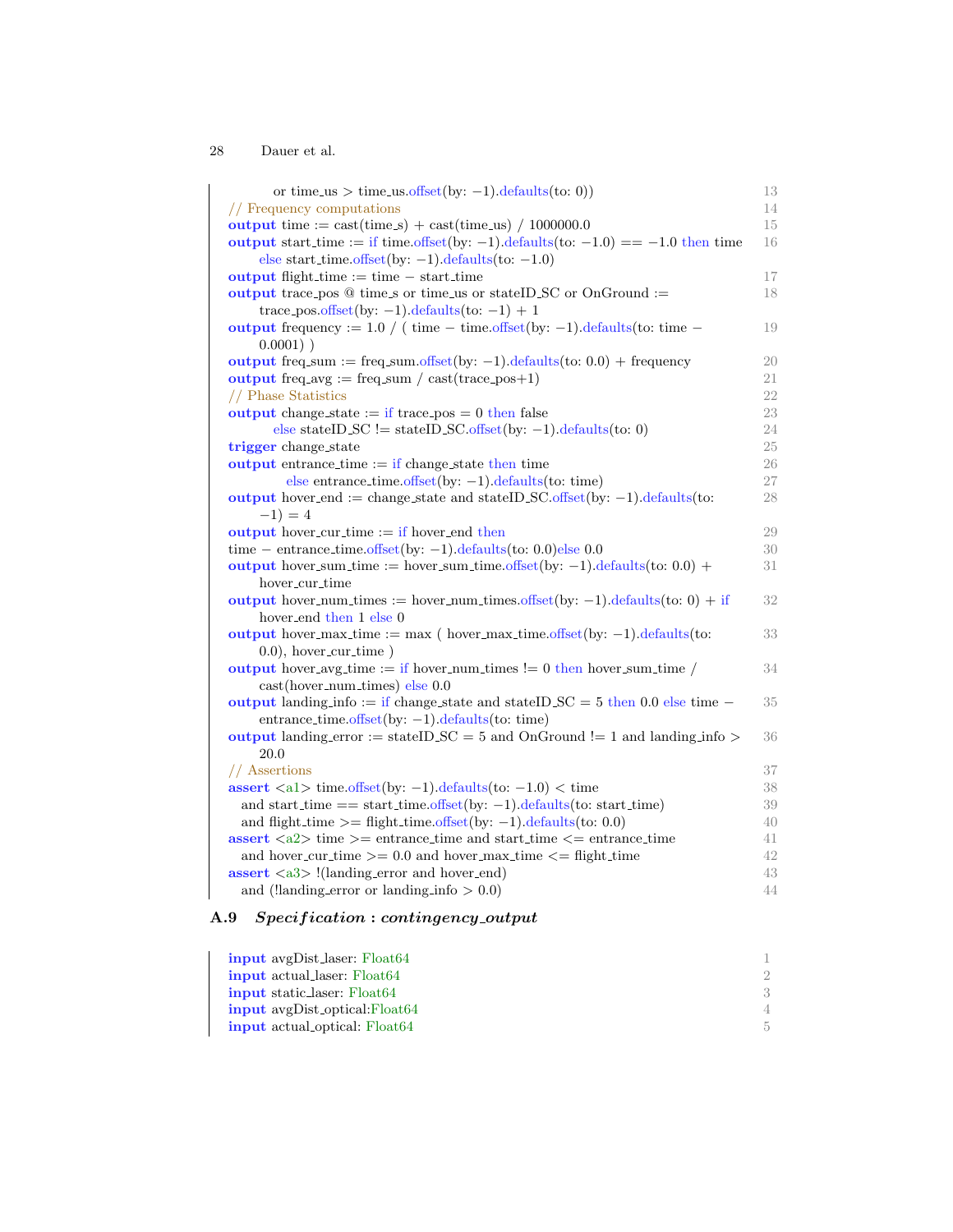| or time_us > time_us.offset(by: -1).defaults(to: 0))                                                                                             | 13     |
|--------------------------------------------------------------------------------------------------------------------------------------------------|--------|
| // Frequency computations                                                                                                                        | 14     |
| output time := $\text{cast}(\text{time}.\text{s}) + \text{cast}(\text{time}.\text{us}) / 1000000.0$                                              | 15     |
| output start time := if time.offset(by: -1).defaults(to: $-1.0$ ) == $-1.0$ then time<br>else start_time.offset(by: $-1$ ).defaults(to: $-1.0$ ) | 16     |
| <b>output</b> flight-time $:=$ time $-$ start-time                                                                                               | 17     |
| output trace pos $@$ time s or time us or state ID SC or OnGround :=                                                                             | 18     |
| trace_pos.offset(by: $-1$ ).defaults(to: $-1$ ) + 1                                                                                              |        |
| output frequency := $1.0 / (time - time. offset(by: -1).defaults(to: time -$<br>$0.0001)$ )                                                      | 19     |
| output freq.sum := freq.sum.offset(by: $-1$ ).defaults(to: 0.0) + frequency                                                                      | 20     |
| output freq.avg := freq.sum / cast(trace_pos+1)                                                                                                  | 21     |
| // Phase Statistics                                                                                                                              | 22     |
| output change_state := if trace_pos = $0$ then false                                                                                             | 23     |
| else stateID_SC != stateID_SC offset(by: $-1$ ).defaults(to: 0)                                                                                  | 24     |
| trigger change_state                                                                                                                             | $25\,$ |
| <b>output</b> entrance time $:=$ if change state then time                                                                                       | 26     |
| else entrance_time.offset(by: $-1$ ).defaults(to: time)                                                                                          | 27     |
| output hover_end := change_state and stateID_SC.offset(by: $-1$ ).defaults(to:                                                                   | 28     |
| $-1) = 4$                                                                                                                                        |        |
| <b>output</b> hover_cur_time $:=$ if hover_end then                                                                                              | 29     |
| time – entrance time offset (by: $-1$ ) defaults (to: 0.0) else 0.0                                                                              | 30     |
| output hover_sum_time := hover_sum_time.offset(by: -1).defaults(to: $0.0$ ) +                                                                    | 31     |
| hover_cur_time                                                                                                                                   |        |
| output hover_num_times := hover_num_times.offset(by: -1).defaults(to: 0) + if<br>hover_end_then 1_else 0                                         | 32     |
| output hover_max_time := max ( hover_max_time.offset(by: $-1$ ).defaults(to:                                                                     | 33     |
| $(0.0)$ , hover_cur_time)                                                                                                                        |        |
| output hover_avg_time := if hover_num_times != 0 then hover_sum_time /<br>$cast(hover_number)$ else $0.0$                                        | 34     |
| output landing info := if change state and state ID $SC = 5$ then 0.0 else time -                                                                | 35     |
| $entrance_time. offset(by: -1). defaults(to: time)$                                                                                              |        |
| output landing error := stateID_SC = 5 and OnGround != 1 and landing info >                                                                      | 36     |
| 20.0                                                                                                                                             |        |
| // Assertions                                                                                                                                    | 37     |
| assert $\langle a1 \rangle$ time offset(by: -1) defaults(to: -1.0) $\langle$ time                                                                | 38     |
| and start_time == start_time.offset(by: $-1$ ).defaults(to: start_time)                                                                          | 39     |
| and flight_time $\ge$ = flight_time offset(by: -1) defaults (to: 0.0)                                                                            | 40     |
| $\textbf{assert} \leq 2$ time >= entrance_time and start_time <= entrance_time                                                                   | 41     |
| and hover_cur_time $\ge$ = 0.0 and hover_max_time $\le$ = flight_time                                                                            | 42     |
| $\textbf{assert} \leq 3$ : (landing_error and hover_end)                                                                                         | 43     |
| and (!landing_error or landing_info $> 0.0$ )                                                                                                    | 44     |
|                                                                                                                                                  |        |

## A.9 Specification : contingency\_output

| <b>input</b> avgDist_laser: Float64  |     |
|--------------------------------------|-----|
| <b>input</b> actual laser: Float64   |     |
| <b>input</b> static laser: Float64   |     |
| <b>input</b> avgDist_optical:Float64 |     |
| <b>input</b> actual optical: Float64 | .5. |